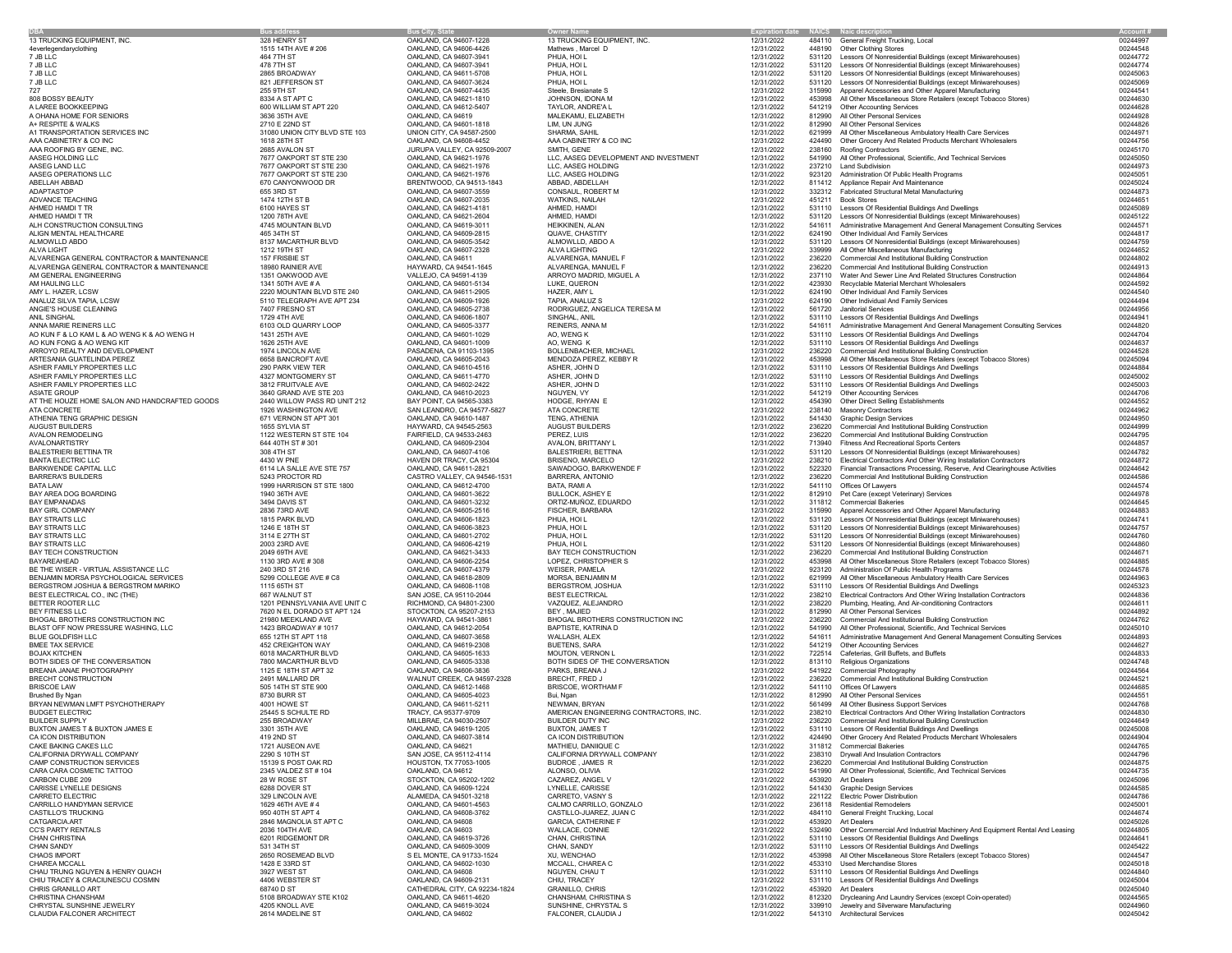|                                               | <b>Bus address</b>            | <b>Bus City, State</b>           | <b>Owner Name</b>                      | <b>Expiration date</b> |        | <b>NAICS</b> Naic description                                               | <b>Account #</b> |
|-----------------------------------------------|-------------------------------|----------------------------------|----------------------------------------|------------------------|--------|-----------------------------------------------------------------------------|------------------|
| 13 TRUCKING EQUIPMENT, INC.                   | 328 HENRY ST                  | OAKLAND, CA 94607-1228           | 13 TRUCKING EQUIPMENT, INC             | 12/31/2022             |        | 484110 General Freight Trucking, Local                                      | 00244997         |
| 4everlegendaryclothing                        | 1515 14TH AVE # 206           | OAKLAND, CA 94606-4426           | Mathews, Marcel D                      | 12/31/2022             |        | 448190 Other Clothing Stores                                                | 00244548         |
| 7 JB LLC                                      | 464 7TH ST                    | OAKLAND, CA 94607-3941           | PHUA, HOI L                            | 12/31/2022             | 531120 | Lessors Of Nonresidential Buildings (except Miniwarehouses)                 | 00244772         |
| 7 JB LLC                                      | 478 7TH ST                    | OAKLAND, CA 94607-3941           | PHUA, HOI L                            | 12/31/2022             | 531120 | Lessors Of Nonresidential Buildings (except Miniwarehouses)                 | 00244774         |
| 7 JB LLC                                      | 2865 BROADWAY                 | OAKLAND, CA 94611-5708           | PHUA, HOI L                            | 12/31/2022             | 531120 | Lessors Of Nonresidential Buildings (except Miniwarehouses)                 | 00245063         |
| 7 JB LLC                                      | 821 JEFFERSON ST              | OAKLAND, CA 94607-3624           | PHUA, HOI L                            | 12/31/2022             |        | Lessors Of Nonresidential Buildings (except Miniwarehouses)                 | 00245069         |
| 727                                           | 255 9TH ST                    | OAKLAND, CA 94607-4435           | Steele, Bresianate S                   | 12/31/2022             | 315990 | Apparel Accessories and Other Apparel Manufacturing                         | 00244541         |
|                                               | 8334 A ST APT C               | OAKLAND, CA 94621-1810           |                                        | 12/31/2022             |        |                                                                             | 00244630         |
| 808 BOSSY BEAUTY<br>A LAREE BOOKKEEPING       | 600 WILLIAM ST APT 220        |                                  | JOHNSON, IDONA M<br>TAYLOR, ANDRE'A L  |                        | 453998 | All Other Miscellaneous Store Retailers (except Tobacco Stores)             |                  |
|                                               |                               | OAKLAND, CA 94612-5407           |                                        | 12/31/2022             |        | 541219 Other Accounting Services                                            | 00244628         |
| A OHANA HOME FOR SENIORS                      | 3636 35TH AVE                 | OAKLAND, CA 94619                | MALEKAMU, ELIZABETH                    | 12/31/2022             | 812990 | All Other Personal Services                                                 | 00244928         |
| A+ RESPITE & WALKS                            | 2710 E 22ND ST                | OAKLAND, CA 94601-1818           | LIM, UN JUNG                           | 12/31/2022             | 812990 | All Other Personal Services                                                 | 00244826         |
| A1 TRANSPORTATION SERVICES INC                | 31080 UNION CITY BLVD STE 103 | <b>UNION CITY, CA 94587-2500</b> | SHARMA, SAHIL                          | 12/31/2022             | 621999 | All Other Miscellaneous Ambulatory Health Care Services                     | 00244971         |
| AAA CABINETRY & CO INC                        | 1618 28TH ST                  | OAKLAND, CA 94608-4452           | AAA CABINETRY & CO INC                 | 12/31/2022             | 424490 | Other Grocery And Related Products Merchant Wholesalers                     | 00244756         |
| AAA ROOFING BY GENE, INC.                     | 2685 AVALON ST                | JURUPA VALLEY, CA 92509-2007     | SMITH, GENE                            | 12/31/2022             | 238160 | <b>Roofing Contractors</b>                                                  | 00245170         |
| AASEG HOLDING LLC                             | 7677 OAKPORT ST STE 230       | OAKLAND, CA 94621-1976           | LLC, AASEG DEVELOPMENT AND INVESTMENT  | 12/31/2022             | 541990 | All Other Professional, Scientific, And Technical Services                  | 00245050         |
| AASEG LAND LLC                                | 7677 OAKPORT ST STE 230       | OAKLAND, CA 94621-1976           | LLC, AASEG HOLDING                     | 12/31/2022             |        | 237210 Land Subdivision                                                     | 00244973         |
| AASEG OPERATIONS LLC                          | 7677 OAKPORT ST STE 230       | OAKLAND, CA 94621-1976           | LLC, AASEG HOLDING                     | 12/31/2022             |        | 923120 Administration Of Public Health Programs                             | 00245051         |
| ABELLAH ABBAD                                 | 670 CANYONWOOD DR             | BRENTWOOD, CA 94513-1843         | ABBAD, ABDELLAH                        | 12/31/2022             |        | 811412 Appliance Repair And Maintenance                                     | 00245024         |
| ADAPTASTOP                                    | 655 3RD ST                    | OAKLAND, CA 94607-3559           | <b>CONSAUL, ROBERT M</b>               | 12/31/2022             |        | 332312 Fabricated Structural Metal Manufacturing                            | 00244873         |
| <b>ADVANCE TEACHING</b>                       | 1474 12TH ST B                | OAKLAND, CA 94607-2035           | <b>WATKINS, NAILAH</b>                 | 12/31/2022             | 451211 | <b>Book Stores</b>                                                          | 00244651         |
| AHMED HAMDI T TR                              | 6100 HAYES ST                 | OAKLAND, CA 94621-4181           | AHMED, HAMDI                           | 12/31/2022             | 531110 | Lessors Of Residential Buildings And Dwellings                              | 00245089         |
| AHMED HAMDI T TR                              | 1200 78TH AVE                 | OAKLAND, CA 94621-2604           | AHMED, HAMDI                           | 12/31/2022             |        | 531120 Lessors Of Nonresidential Buildings (except Miniwarehouses)          | 00245122         |
| ALH CONSTRUCTION CONSULTING                   | 4745 MOUNTAIN BLVD            | OAKLAND, CA 94619-3011           | <b>HEIKKINEN, ALAN</b>                 | 12/31/2022             | 541611 | Administrative Management And General Management Consulting Services        | 00244571         |
| ALIGN MENTAL HEALTHCARE                       | 465 34TH ST                   | OAKLAND, CA 94609-2815           | <b>QUAVE, CHASTITY</b>                 |                        | 624190 | <b>Other Individual And Family Services</b>                                 | 00244817         |
|                                               |                               |                                  |                                        | 12/31/2022             |        |                                                                             |                  |
| ALMOWLLD ABDO                                 | 8137 MACARTHUR BLVD           | OAKLAND, CA 94605-3542           | ALMOWLLD, ABDO A                       | 12/31/2022             | 531120 | Lessors Of Nonresidential Buildings (except Miniwarehouses)                 | 00244759         |
| ALVA LIGHT                                    | 1212 19TH ST                  | OAKLAND, CA 94607-2328           | <b>ALVA LIGHTING</b>                   | 12/31/2022             | 339999 | All Other Miscellaneous Manufacturing                                       | 00244652         |
| ALVARENGA GENERAL CONTRACTOR & MAINTENANCE    | 157 FRISBIE ST                | OAKLAND, CA 94611                | ALVARENGA, MANUEL F                    | 12/31/2022             | 236220 | <b>Commercial And Institutional Building Construction</b>                   | 00244802         |
| ALVARENGA GENERAL CONTRACTOR & MAINTENANCE    | 18980 RAINIER AVE             | HAYWARD, CA 94541-1645           | ALVARENGA, MANUEL F                    | 12/31/2022             | 236220 | <b>Commercial And Institutional Building Construction</b>                   | 00244913         |
| AM GENERAL ENGINEERING                        | 1351 OAKWOOD AVE              | VALLEJO, CA 94591-4139           | ARROYO MADRID, MIGUEL A                | 12/31/2022             |        | 237110 Water And Sewer Line And Related Structures Construction             | 00244864         |
| AM HAULING LLC                                | 1341 50TH AVE # A             | OAKLAND, CA 94601-5134           | LUKE, QUERON                           | 12/31/2022             | 423930 | Recyclable Material Merchant Wholesalers                                    | 00244592         |
| AMY L. HAZER, LCSW                            | 2220 MOUNTAIN BLVD STE 240    | OAKLAND, CA 94611-2905           | HAZER, AMY L                           | 12/31/2022             |        | 624190 Other Individual And Family Services                                 | 00244540         |
| ANALUZ SILVA TAPIA, LCSW                      | 5110 TELEGRAPH AVE APT 234    | OAKLAND, CA 94609-1926           | TAPIA, ANALUZ S                        | 12/31/2022             | 624190 | <b>Other Individual And Family Services</b>                                 | 00244494         |
| ANGIE'S HOUSE CLEANING                        | 7407 FRESNO ST                | OAKLAND, CA 94605-2738           | RODRIGUEZ, ANGELICA TERESA M           | 12/31/2022             | 561720 | <b>Janitorial Services</b>                                                  | 00244956         |
| ANIL SINGHAL                                  | 1729 4TH AVE                  | OAKLAND, CA 94606-1807           | SINGHAL, ANIL                          | 12/31/2022             |        | 531110 Lessors Of Residential Buildings And Dwellings                       | 00244941         |
| ANNA MARIE REINERS LLC                        | 6103 OLD QUARRY LOOP          | OAKLAND, CA 94605-3377           | <b>REINERS, ANNA M</b>                 | 12/31/2022             |        | 541611 Administrative Management And General Management Consulting Services | 00244820         |
| AO KUN F & LO KAM L & AO WENG K & AO WENG H   | 1431 25TH AVE                 | OAKLAND, CA 94601-1029           | AO, WENG K                             | 12/31/2022             | 531110 | Lessors Of Residential Buildings And Dwellings                              | 00244704         |
| AO KUN FONG & AO WENG KIT                     | 1626 25TH AVE                 | OAKLAND, CA 94601-1009           | AO, WENG K                             | 12/31/2022             | 531110 | Lessors Of Residential Buildings And Dwellings                              | 00244637         |
|                                               | 1974 LINCOLN AVE              | PASADENA, CA 91103-1395          | <b>BOLLENBACHER, MICHAEL</b>           |                        |        | <b>Commercial And Institutional Building Construction</b>                   |                  |
| ARROYO REALTY AND DEVELOPMENT                 |                               |                                  |                                        | 12/31/2022             | 236220 |                                                                             | 00244528         |
| ARTESANIA GUATELINDA PEREZ                    | 6658 BANCROFT AVE             | OAKLAND, CA 94605-2043           | MENDOZA PEREZ, KEBBY R                 | 12/31/2022             | 453998 | All Other Miscellaneous Store Retailers (except Tobacco Stores)             | 00245094         |
| ASHER FAMILY PROPERTIES LLC                   | 290 PARK VIEW TER             | OAKLAND, CA 94610-4516           | ASHER, JOHN D                          | 12/31/2022             | 531110 | Lessors Of Residential Buildings And Dwellings                              | 00244884         |
| ASHER FAMILY PROPERTIES LLC                   | 4327 MONTGOMERY ST            | OAKLAND, CA 94611-4770           | ASHER, JOHN D                          | 12/31/2022             |        | 531110 Lessors Of Residential Buildings And Dwellings                       | 00245002         |
| ASHER FAMILY PROPERTIES LLC                   | 3812 FRUITVALE AVE            | OAKLAND, CA 94602-2422           | ASHER, JOHN D                          | 12/31/2022             | 531110 | Lessors Of Residential Buildings And Dwellings                              | 00245003         |
| <b>ASIATE GROUP</b>                           | 3640 GRAND AVE STE 203        | OAKLAND, CA 94610-2023           | NGUYEN, VY                             | 12/31/2022             |        | 541219 Other Accounting Services                                            | 00244706         |
| AT THE HOUZE HOME SALON AND HANDCRAFTED GOODS | 2440 WILLOW PASS RD UNIT 212  | BAY POINT, CA 94565-3383         | HODGE, RHYAN E                         | 12/31/2022             | 454390 | <b>Other Direct Selling Establishments</b>                                  | 00244552         |
| <b>ATA CONCRETE</b>                           | 1926 WASHINGTON AVE           | SAN LEANDRO, CA 94577-5827       | <b>ATA CONCRETE</b>                    | 12/31/2022             | 238140 | <b>Masonry Contractors</b>                                                  | 00244962         |
| ATHENIA TENG GRAPHIC DESIGN                   | 671 VERNON ST APT 301         | OAKLAND, CA 94610-1487           | TENG, ATHENIA                          | 12/31/2022             | 541430 | <b>Graphic Design Services</b>                                              | 00244950         |
| AUGUST BUILDERS                               | 1655 SYLVIA ST                | HAYWARD, CA 94545-2563           | <b>AUGUST BUILDERS</b>                 | 12/31/2022             |        | <b>Commercial And Institutional Building Construction</b>                   | 00244999         |
| AVALON REMODELING                             | 1122 WESTERN ST STE 104       | FAIRFIELD, CA 94533-2463         | PEREZ, LUIS                            | 12/31/2022             |        | <b>Commercial And Institutional Building Construction</b>                   | 00244795         |
| AVALONARTISTRY                                | 644 40TH ST # 301             | OAKLAND, CA 94609-2304           | AVALON, BRITTANY L                     | 12/31/2022             |        | 713940 Fitness And Recreational Sports Centers                              | 00244857         |
| BALESTRIERI BETTINA TR                        | 308 4TH ST                    | OAKLAND, CA 94607-4106           | <b>BALESTRIERI, BETTINA</b>            | 12/31/2022             |        | 531120 Lessors Of Nonresidential Buildings (except Miniwarehouses)          | 00244782         |
| <b>BANTA ELECTRIC LLC</b>                     | 4430 W PNE                    | HAVEN DR TRACY, CA 95304         | <b>BRISENO, MARCELO</b>                | 12/31/2022             |        | 238210 Electrical Contractors And Other Wiring Installation Contractors     | 00244872         |
| <b>BARKWENDE CAPITAL LLC</b>                  | 6114 LA SALLE AVE STE 757     | OAKLAND, CA 94611-2821           | SAWADOGO, BARKWENDE F                  | 12/31/2022             | 522320 | Financial Transactions Processing, Reserve, And Clearinghouse Activities    | 00244642         |
| <b>BARRERA'S BUILDERS</b>                     | 5243 PROCTOR RD               | CASTRO VALLEY, CA 94546-1531     | <b>BARRERA, ANTONIO</b>                | 12/31/2022             | 236220 | <b>Commercial And Institutional Building Construction</b>                   | 00244586         |
|                                               | 1999 HARRISON ST STE 1800     | OAKLAND, CA 94612-4700           | BATA, RAMI A                           | 12/31/2022             | 541110 |                                                                             |                  |
| BATA LAW                                      |                               |                                  |                                        |                        |        | Offices Of Lawyers                                                          | 00244574         |
| BAY AREA DOG BOARDING                         | 1940 36TH AVE                 | OAKLAND, CA 94601-3622           | <b>BULLOCK, ASHEY E</b>                | 12/31/2022             |        | 812910 Pet Care (except Veterinary) Services                                | 00244978         |
| BAY EMPANADAS                                 | 3494 DAVIS ST                 | OAKLAND, CA 94601-3232           | ORTIZ-MUÑOZ, EDUARDO                   | 12/31/2022             |        | 311812 Commercial Bakeries                                                  | 00244645         |
| <b>BAY GIRL COMPANY</b>                       | 2836 73RD AVE                 | OAKLAND, CA 94605-2516           | <b>FISCHER, BARBARA</b>                | 12/31/2022             | 315990 | Apparel Accessories and Other Apparel Manufacturing                         | 00244883         |
| <b>BAY STRAITS LLC</b>                        | 1815 PARK BLVD                | OAKLAND, CA 94606-1823           | PHUA, HOI L                            | 12/31/2022             |        | Lessors Of Nonresidential Buildings (except Miniwarehouses)                 | 00244741         |
| <b>BAY STRAITS LLC</b>                        | 1246 E 18TH ST                | OAKLAND, CA 94606-3823           | PHUA, HOI L                            | 12/31/2022             |        | Lessors Of Nonresidential Buildings (except Miniwarehouses)                 | 00244757         |
| <b>BAY STRAITS LLC</b>                        | 3114 E 27TH ST                | OAKLAND, CA 94601-2702           | PHUA, HOI L                            | 12/31/2022             | 531120 | Lessors Of Nonresidential Buildings (except Miniwarehouses)                 | 00244760         |
| <b>BAY STRAITS LLC</b>                        | 2003 23RD AVE                 | OAKLAND, CA 94606-4219           | PHUA, HOI L                            | 12/31/2022             |        | 531120 Lessors Of Nonresidential Buildings (except Miniwarehouses)          | 00244860         |
| BAY TECH CONSTRUCTION                         | 2049 69TH AVE                 | OAKLAND, CA 94621-3433           | <b>BAY TECH CONSTRUCTION</b>           | 12/31/2022             | 236220 | <b>Commercial And Institutional Building Construction</b>                   | 00244671         |
| <b>BAYAREAHEAD</b>                            | 1130 3RD AVE # 308            | OAKLAND, CA 94606-2254           | LOPEZ, CHRISTOPHER S                   | 12/31/2022             | 453998 | All Other Miscellaneous Store Retailers (except Tobacco Stores)             | 00244885         |
| BE THE WISER - VIRTUAL ASSISTANCE LLC         | 240 3RD ST 216                | OAKLAND, CA 94607-4379           | <b>WEISER, PAMELA</b>                  | 12/31/2022             | 923120 | Administration Of Public Health Programs                                    | 00244578         |
| BENJAMIN MORSA PSYCHOLOGICAL SERVICES         | 5299 COLLEGE AVE # C8         | OAKLAND, CA 94618-2809           | MORSA, BENJAMIN M                      | 12/31/2022             | 621999 | All Other Miscellaneous Ambulatory Health Care Services                     | 00244963         |
| BERGSTROM JOSHUA & BERGSTROM MARIKO           | 1115 65TH ST                  | OAKLAND, CA 94608-1108           | <b>BERGSTROM, JOSHUA</b>               | 12/31/2022             |        | 531110 Lessors Of Residential Buildings And Dwellings                       | 00245323         |
| BEST ELECTRICAL CO., INC (THE)                | 667 WALNUT ST                 | SAN JOSE, CA 95110-2044          | <b>BEST ELECTRICAL</b>                 | 12/31/2022             |        | Electrical Contractors And Other Wiring Installation Contractors            | 00244836         |
| BETTER ROOTER LLC                             | 1201 PENNSYLVANIA AVE UNIT C  | RICHMOND, CA 94801-2300          | VAZQUEZ, ALEJANDRO                     | 12/31/2022             | 238220 | Plumbing, Heating, And Air-conditioning Contractors                         | 00244611         |
| <b>BEY FITNESS LLC</b>                        | 7620 N EL DORADO ST APT 124   | STOCKTON, CA 95207-2153          | <b>BEY, MAJIED</b>                     | 12/31/2022             | 812990 | All Other Personal Services                                                 | 00244892         |
| <b>BHOGAL BROTHERS CONSTRUCTION INC</b>       | 21980 MEEKLAND AVE            | HAYWARD, CA 94541-3861           | BHOGAL BROTHERS CONSTRUCTION INC       | 12/31/2022             | 236220 | <b>Commercial And Institutional Building Construction</b>                   | 00244762         |
|                                               |                               |                                  |                                        |                        |        |                                                                             |                  |
| BLAST OFF NOW PRESSURE WASHING, LLC           | 1423 BROADWAY #1017           | OAKLAND, CA 94612-2054           | <b>BAPTISTE, KATRINA D</b>             | 12/31/2022             |        | 541990 All Other Professional, Scientific, And Technical Services           | 00245010         |
| <b>BLUE GOLDFISH LLC</b>                      | 655 12TH ST APT 118           | OAKLAND, CA 94607-3658           | <b>WALLASH, ALEX</b>                   | 12/31/2022             |        | 541611 Administrative Management And General Management Consulting Services | 00244893         |
| <b>BMEE TAX SERVICE</b>                       | 452 CREIGHTON WAY             | OAKLAND, CA 94619-2308           | <b>BUETENS, SARA</b>                   | 12/31/2022             |        | 541219 Other Accounting Services                                            | 00244627         |
| <b>BOJAX KITCHEN</b>                          | 6018 MACARTHUR BLVD           | OAKLAND, CA 94605-1633           | MOUTON, VERNON L                       | 12/31/2022             |        | 722514 Cafeterias, Grill Buffets, and Buffets                               | 00244833         |
| BOTH SIDES OF THE CONVERSATION                | 7800 MACARTHUR BLVD           | OAKLAND, CA 94605-3338           | BOTH SIDES OF THE CONVERSATION         | 12/31/2022             |        | 813110 Religious Organizations                                              | 00244748         |
| BREANA JANAE PHOTOGRAPHY                      | 1125 E 18TH ST APT 32         | OAKLAND, CA 94606-3836           | <b>PARKS, BREANA J</b>                 | 12/31/2022             |        | 541922 Commercial Photography                                               | 00244564         |
| <b>BRECHT CONSTRUCTION</b>                    | 2491 MALLARD DR               | WALNUT CREEK, CA 94597-2328      | <b>BRECHT, FRED J</b>                  | 12/31/2022             | 236220 | <b>Commercial And Institutional Building Construction</b>                   | 00244521         |
| <b>BRISCOE LAW</b>                            | 505 14TH ST STE 900           | OAKLAND, CA 94612-1468           | <b>BRISCOE, WORTHAM F</b>              | 12/31/2022             |        | 541110 Offices Of Lawyers                                                   | 00244685         |
| Brushed By Ngan                               | 8730 BURR ST                  | OAKLAND, CA 94605-4023           | Bui, Ngan                              | 12/31/2022             | 812990 | All Other Personal Services                                                 | 00244551         |
| BRYAN NEWMAN LMFT PSYCHOTHERAPY               | 4001 HOWE ST                  | OAKLAND, CA 94611-5211           | NEWMAN, BRYAN                          | 12/31/2022             | 561499 | All Other Business Support Services                                         | 00244768         |
| <b>BUDGET ELECTRIC</b>                        | 25445 S SCHULTE RD            | TRACY, CA 95377-9709             | AMERICAN ENGINEERING CONTRACTORS, INC. | 12/31/2022             |        | 238210 Electrical Contractors And Other Wiring Installation Contractors     | 00244830         |
| <b>BUILDER SUPPLY</b>                         | 255 BROADWAY                  | MILLBRAE, CA 94030-2507          | <b>BUILDER DUTY INC</b>                | 12/31/2022             |        | 236220 Commercial And Institutional Building Construction                   | 00244649         |
| BUXTON JAMES T & BUXTON JAMES E               | 3301 35TH AVE                 | OAKLAND, CA 94619-1205           | <b>BUXTON, JAMES T</b>                 | 12/31/2022             |        | 531110 Lessors Of Residential Buildings And Dwellings                       | 00245008         |
| CA ICON DISTRIBUTION                          | 419 2ND ST                    | OAKLAND, CA 94607-3814           | CA ICON DISTRIBUTION                   | 12/31/2022             |        | 424490 Other Grocery And Related Products Merchant Wholesalers              | 00244904         |
| CAKE BAKING CAKES LLC                         | 1721 AUSEON AVE               | OAKLAND, CA 94621                | MATHIEU, DANIIQUE C                    | 12/31/2022             |        | 311812 Commercial Bakeries                                                  | 00244765         |
| CALIFORNIA DRYWALL COMPANY                    | 2290 S 10TH ST                | SAN JOSE, CA 95112-4114          | CALIFORNIA DRYWALL COMPANY             | 12/31/2022             |        | 238310 Drywall And Insulation Contractors                                   | 00244796         |
|                                               |                               |                                  |                                        |                        |        |                                                                             |                  |
| CAMP CONSTRUCTION SERVICES                    | 15139 S POST OAK RD           | <b>HOUSTON, TX 77053-1005</b>    | <b>BUDROE, JAMES R</b>                 | 12/31/2022             |        | 236220 Commercial And Institutional Building Construction                   | 00244875         |
| CARA CARA COSMETIC TATTOO                     | 2345 VALDEZ ST # 104          | OAKLAND, CA 94612                | ALONSO, OLIVIA                         | 12/31/2022             | 541990 | All Other Professional, Scientific, And Technical Services                  | 00244735         |
| CARBON CUBE 209                               | 28 W ROSE ST                  | STOCKTON, CA 95202-1202          | CAZAREZ, ANGEL V                       | 12/31/2022             | 453920 | <b>Art Dealers</b>                                                          | 00245096         |
| CARISSE LYNELLE DESIGNS                       | 6288 DOVER ST                 | OAKLAND, CA 94609-1224           | LYNELLE, CARISSE                       | 12/31/2022             | 541430 | <b>Graphic Design Services</b>                                              | 00244585         |
| <b>CARRETO ELECTRIC</b>                       | 329 LINCOLN AVE               | ALAMEDA, CA 94501-3218           | <b>CARRETO, VASNY S</b>                | 12/31/2022             |        | 221122 Electric Power Distribution                                          | 00244786         |
| CARRILLO HANDYMAN SERVICE                     | 1629 46TH AVE #4              | OAKLAND, CA 94601-4563           | CALMO CARRILLO, GONZALO                | 12/31/2022             |        | 236118 Residential Remodelers                                               | 00245001         |
| <b>CASTILLO'S TRUCKING</b>                    | 950 40TH ST APT 4             | OAKLAND, CA 94608-3762           | CASTILLO-JUAREZ, JUAN C                | 12/31/2022             |        | 484110 General Freight Trucking, Local                                      | 00244674         |
| CATGARCIA.ART                                 | 2846 MAGNOLIA ST APT C        | OAKLAND, CA 94608                | <b>GARCIA, CATHERINE F</b>             | 12/31/2022             | 453920 | <b>Art Dealers</b>                                                          | 00245026         |
| <b>CC'S PARTY RENTALS</b>                     | 2036 104TH AVE                | OAKLAND, CA 94603                | <b>WALLACE, CONNIE</b>                 | 12/31/2022             | 532490 | Other Commercial And Industrial Machinery And Equipment Rental And Leasing  | 00244805         |
| <b>CHAN CHRISTINA</b>                         | 6201 RIDGEMONT DR             | OAKLAND, CA 94619-3726           | <b>CHAN, CHRISTINA</b>                 | 12/31/2022             | 531110 | Lessors Of Residential Buildings And Dwellings                              | 00244641         |
| <b>CHAN SANDY</b>                             | 531 34TH ST                   | OAKLAND, CA 94609-3009           | CHAN, SANDY                            | 12/31/2022             |        | 531110 Lessors Of Residential Buildings And Dwellings                       | 00245422         |
| <b>CHAOS IMPORT</b>                           | 2650 ROSEMEAD BLVD            | S EL MONTE, CA 91733-1524        | XU, WENCHAO                            | 12/31/2022             | 453998 | All Other Miscellaneous Store Retailers (except Tobacco Stores)             | 00244547         |
| <b>CHAREA MCCALL</b>                          | 1428 E 33RD ST                | OAKLAND, CA 94602-1030           | MCCALL, CHAREA C                       | 12/31/2022             |        | 453310 Used Merchandise Stores                                              | 00245018         |
| CHAU TRUNG NGUYEN & HENRY QUACH               | 3927 WEST ST                  | OAKLAND, CA 94608                | NGUYEN, CHAU T                         | 12/31/2022             |        | Lessors Of Residential Buildings And Dwellings                              | 00244840         |
|                                               |                               |                                  | CHIU, TRACEY                           |                        | 531110 |                                                                             |                  |
| CHIU TRACEY & CRACIUNESCU COSMIN              | 4406 WEBSTER ST               | OAKLAND, CA 94609-2131           |                                        | 12/31/2022             |        | Lessors Of Residential Buildings And Dwellings                              | 00245004         |
| CHRIS GRANILLO ART                            | 68740 D ST                    | CATHEDRAL CITY, CA 92234-1824    | <b>GRANILLO, CHRIS</b>                 | 12/31/2022             | 453920 | <b>Art Dealers</b>                                                          | 00245040         |
| CHRISTINA CHANSHAM                            | 5108 BROADWAY STE K102        | OAKLAND, CA 94611-4620           | <b>CHANSHAM, CHRISTINA S</b>           | 12/31/2022             |        | 812320 Drycleaning And Laundry Services (except Coin-operated)              | 00244565         |
| CHRYSTAL SUNSHINE JEWELRY                     | 4205 KNOLL AVE                | OAKLAND, CA 94619-3024           | SUNSHINE, CHRYSTAL S                   | 12/31/2022             |        | 339910 Jewelry and Silverware Manufacturing                                 | 00244960         |
| CLAUDIA FALCONER ARCHITECT                    | 2614 MADELINE ST              | OAKLAND, CA 94602                | FALCONER, CLAUDIA J                    | 12/31/2022             |        | 541310 Architectural Services                                               | 00245042         |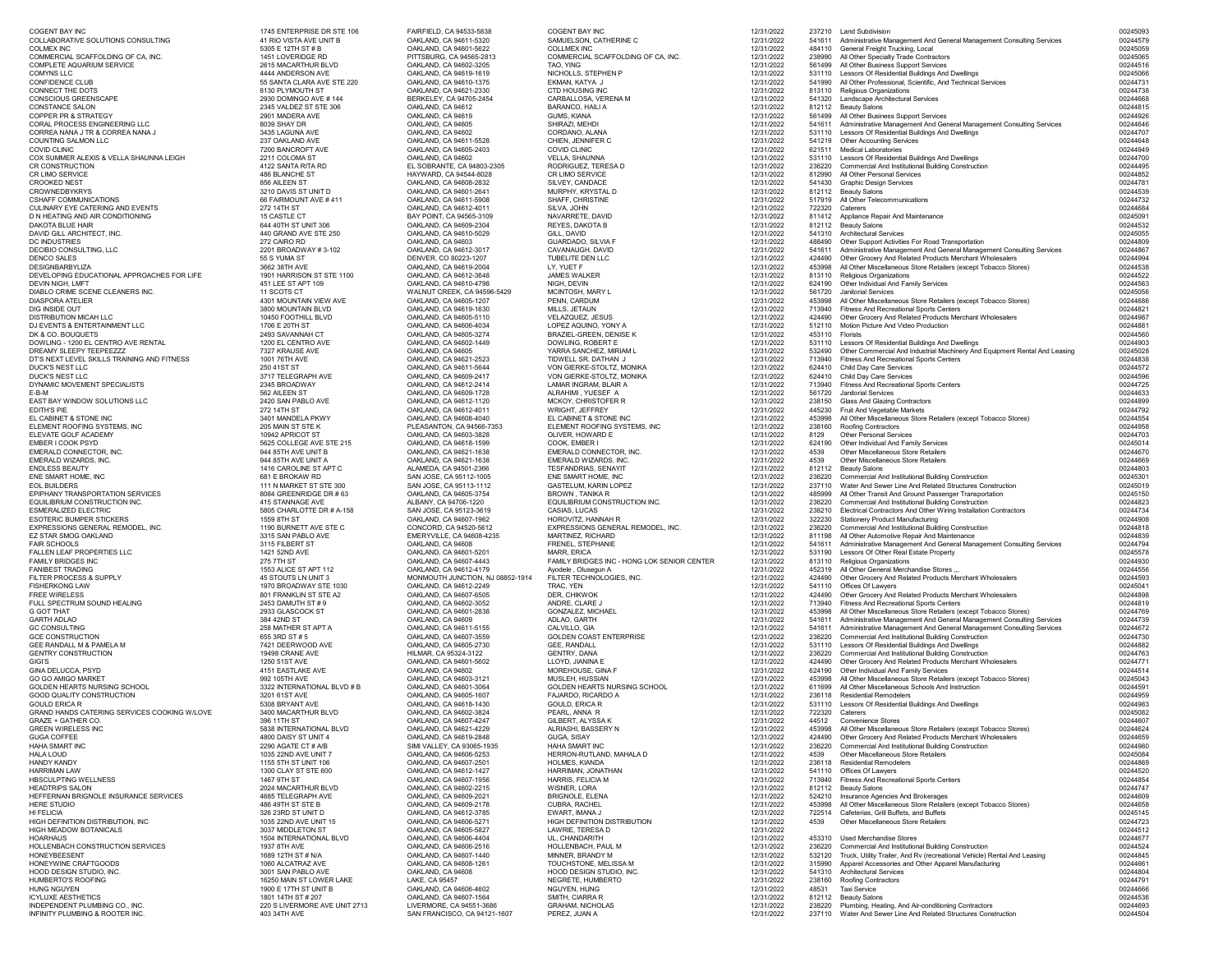| <b>COGENT BAY INC</b>                                                  | 1745 ENTERPRISE DR STE 106                         | FAIRFIELD, CA 94533-5838                                   | <b>COGENT BAY INC</b>                                       | 12/31/2022               |                  | 237210 Land Subdivision                                                                                                                                    | 00245093<br>00244579 |
|------------------------------------------------------------------------|----------------------------------------------------|------------------------------------------------------------|-------------------------------------------------------------|--------------------------|------------------|------------------------------------------------------------------------------------------------------------------------------------------------------------|----------------------|
| COLLABORATIVE SOLUTIONS CONSULTING<br><b>COLMEX INC</b>                | 41 RIO VISTA AVE UNIT B<br>5305 E 12TH ST # B      | OAKLAND, CA 94611-5320<br>OAKLAND, CA 94601-5622           | SAMUELSON, CATHERINE C<br><b>COLLMEX INC</b>                | 12/31/2022<br>12/31/2022 |                  | 541611 Administrative Management And General Management Consulting Services<br>484110 General Freight Trucking, Local                                      | 00245059             |
| COMMERCIAL SCAFFOLDING OF CA, INC                                      | 1451 LOVERIDGE RD                                  | PITTSBURG, CA 94565-2813                                   | COMMERCIAL SCAFFOLDING OF CA, INC.                          | 12/31/2022               | 238990           | All Other Specialty Trade Contractors                                                                                                                      | 00245065<br>00244516 |
| COMPLETE AQUARIUM SERVICE<br>COMYNS LLC                                | 2615 MACARTHUR BLVD<br>4444 ANDERSON AVE           | OAKLAND, CA 94602-3205<br>OAKLAND, CA 94619-1619           | TAO, YING<br>NICHOLLS, STEPHEN P                            | 12/31/2022<br>12/31/2022 | 561499<br>531110 | All Other Business Support Services<br>Lessors Of Residential Buildings And Dwellings                                                                      | 00245066             |
| CONFIDENCE CLUB                                                        | 55 SANTA CLARA AVE STE 220                         | OAKLAND, CA 94610-1375                                     | EKMAN, KATYA J                                              | 12/31/2022               | 541990           | All Other Professional, Scientific, And Technical Services                                                                                                 | 00244731             |
| CONNECT THE DOTS<br>CONSCIOUS GREENSCAPE                               | 8130 PLYMOUTH ST<br>2930 DOMINGO AVE #144          | OAKLAND, CA 94621-2330<br>BERKELEY, CA 94705-2454          | <b>CTD HOUSING INC</b><br>CARBALLOSA, VERENA M              | 12/31/2022<br>12/31/2022 | 541320           | 813110 Religious Organizations<br>Landscape Architectural Services                                                                                         | 00244738<br>00244668 |
| <b>CONSTANCE SALON</b>                                                 | 2345 VALDEZ ST STE 306                             | OAKLAND, CA 94612                                          | <b>BARANCO, HAILI A</b>                                     | 12/31/2022               |                  | 812112 Beauty Salons                                                                                                                                       | 00244815             |
| <b>COPPER PR &amp; STRATEGY</b><br>CORAL PROCESS ENGINEERING LLC       | 2901 MADERA AVE<br>8039 SHAY DR                    | OAKLAND, CA 94619<br>OAKLAND, CA 94605                     | <b>GUMS, KIANA</b><br>SHIRAZI, MEHDI                        | 12/31/2022<br>12/31/2022 |                  | 561499 All Other Business Support Services<br>541611 Administrative Management And General Management Consulting Services                                  | 00244926<br>00244646 |
| CORREA NANA J TR & CORREA NANA J                                       | 3435 LAGUNA AVE                                    | OAKLAND, CA 94602                                          | CORDANO, ALANA                                              | 12/31/2022               |                  | 531110 Lessors Of Residential Buildings And Dwellings                                                                                                      | 00244707             |
| COUNTING SALMON LLC<br><b>COVID CLINIC</b>                             | 237 OAKLAND AVE<br>7200 BANCROFT AVE               | OAKLAND, CA 94611-5528<br>OAKLAND, CA 94605-2403           | CHIEN, JENNIFER C<br><b>COVID CLINIC</b>                    | 12/31/2022<br>12/31/2022 | 621511           | 541219 Other Accounting Services<br><b>Medical Laboratories</b>                                                                                            | 00244648<br>00244949 |
| COX SUMMER ALEXIS & VELLA SHAUNNA LEIGH                                | 2211 COLOMA ST                                     | OAKLAND, CA 94602                                          | <b>VELLA, SHAUNNA</b>                                       | 12/31/2022               |                  | 531110 Lessors Of Residential Buildings And Dwellings                                                                                                      | 00244700             |
| CR CONSTRUCTION<br>CR LIMO SERVICE                                     | 4122 SANTA RITA RD<br>486 BLANCHE ST               | EL SOBRANTE, CA 94803-2305<br>HAYWARD, CA 94544-8028       | RODRIGUEZ, TERESA D<br><b>CR LIMO SERVICE</b>               | 12/31/2022<br>12/31/2022 | 236220           | <b>Commercial And Institutional Building Construction</b><br>812990 All Other Personal Services                                                            | 00244495<br>00244852 |
| CROOKED NEST                                                           | 856 AILEEN ST                                      | OAKLAND, CA 94608-2832                                     | SILVEY, CANDACE                                             | 12/31/2022               | 541430           | <b>Graphic Design Services</b>                                                                                                                             | 00244781             |
| <b>CROWNEDBYKRYS</b><br><b>CSHAFF COMMUNICATIONS</b>                   | 3210 DAVIS ST UNIT D<br>66 FAIRMOUNT AVE #411      | OAKLAND, CA 94601-2641<br>OAKLAND, CA 94611-5908           | MURPHY, KRYSTAL D<br><b>SHAFF, CHRISTINE</b>                | 12/31/2022<br>12/31/2022 |                  | 812112 Beauty Salons<br>517919 All Other Telecommunications                                                                                                | 00244539<br>00244732 |
| CULINARY EYE CATERING AND EVENTS                                       | 272 14TH ST                                        | OAKLAND, CA 94612-4011                                     | SILVA, JOHN                                                 | 12/31/2022               | 722320           | Caterers                                                                                                                                                   | 00244684             |
| D N HEATING AND AIR CONDITIONING                                       | <b>15 CASTLE CT</b>                                | BAY POINT, CA 94565-3109                                   | NAVARRETE, DAVID                                            | 12/31/2022               |                  | 811412 Appliance Repair And Maintenance                                                                                                                    | 00245091<br>00244532 |
| DAKOTA BLUE HAIR<br>DAVID GILL ARCHITECT, INC.                         | 644 40TH ST UNIT 306<br>440 GRAND AVE STE 250      | OAKLAND, CA 94609-2304<br>OAKLAND, CA 94610-5029           | REYES, DAKOTA B<br>GILL, DAVID                              | 12/31/2022<br>12/31/2022 |                  | 812112 Beauty Salons<br>541310 Architectural Services                                                                                                      | 00245055             |
| DC INDUSTRIES                                                          | 272 CAIRO RD                                       | OAKLAND, CA 94603                                          | <b>GUARDADO, SILVIA F</b>                                   | 12/31/2022               | 488490           | Other Support Activities For Road Transportation                                                                                                           | 00244809             |
| DECIBIO CONSULTING, LLC<br><b>DENCO SALES</b>                          | 2201 BROADWAY #3-102<br>55 S YUMA ST               | OAKLAND, CA 94612-3017<br>DENVER, CO 80223-1207            | CAVANAUGH, DAVID<br>TUBELITE DEN LLC                        | 12/31/2022<br>12/31/2022 | 424490           | 541611 Administrative Management And General Management Consulting Services<br>Other Grocery And Related Products Merchant Wholesalers                     | 00244867<br>00244994 |
| DESIGNBARBYLIZA                                                        | 3662 38TH AVE                                      | OAKLAND, CA 94619-2004                                     | LY, YUET F                                                  | 12/31/2022               | 453998           | All Other Miscellaneous Store Retailers (except Tobacco Stores)                                                                                            | 00244538             |
| DEVELOPING EDUCATIONAL APPROACHES FOR LIFE<br>DEVIN NIGH, LMFT         | 1901 HARRISON ST STE 1100<br>451 LEE ST APT 109    | OAKLAND, CA 94612-3648<br>OAKLAND, CA 94610-4798           | <b>JAMES WALKER</b><br>NIGH, DEVIN                          | 12/31/2022<br>12/31/2022 | 813110           | <b>Religious Organizations</b><br>624190 Other Individual And Family Services                                                                              | 00244522<br>00244563 |
| DIABLO CRIME SCENE CLEANERS INC.                                       | 11 SCOTS CT                                        | <b>WALNUT CREEK, CA 94596-5429</b>                         | <b>MCINTOSH, MARY L</b>                                     | 12/31/2022               | 561720           | <b>Janitorial Services</b>                                                                                                                                 | 00245056             |
| <b>DIASPORA ATELIER</b><br>DIG INSIDE OUT                              | 4301 MOUNTAIN VIEW AVE<br>3800 MOUNTAIN BLVD       | OAKLAND, CA 94605-1207<br>OAKLAND, CA 94619-1630           | PENN, CARDUM<br>MILLS, JETAUN                               | 12/31/2022<br>12/31/2022 | 453998<br>713940 | All Other Miscellaneous Store Retailers (except Tobacco Stores)<br><b>Fitness And Recreational Sports Centers</b>                                          | 00244686<br>00244821 |
| DISTRIBUTION MICAH LLC                                                 | 10450 FOOTHILL BLVD                                | OAKLAND, CA 94605-5110                                     | VELAZQUEZ, JESUS                                            | 12/31/2022               |                  | 424490 Other Grocery And Related Products Merchant Wholesalers                                                                                             | 00244987             |
| DJ EVENTS & ENTERTAINMENT LLC<br>DK & CO. BOUQUETS                     | 1706 E 20TH ST<br>2493 SAVANNAH CT                 | OAKLAND, CA 94606-4034<br>OAKLAND, CA 94605-3274           | LOPEZ AQUINO, YONY A<br><b>BRAZIEL-GREEN, DENISE K</b>      | 12/31/2022<br>12/31/2022 |                  | 512110 Motion Picture And Video Production<br>453110 Florists                                                                                              | 00244881<br>00244560 |
| DOWLING - 1200 EL CENTRO AVE RENTAL                                    | 1200 EL CENTRO AVE                                 | OAKLAND, CA 94602-1449                                     | <b>DOWLING, ROBERT E</b>                                    | 12/31/2022               | 531110           | Lessors Of Residential Buildings And Dwellings                                                                                                             | 00244903             |
| DREAMY SLEEPY TEEPEEZZZ<br>DT'S NEXT LEVEL SKILLS TRAINING AND FITNESS | 7327 KRAUSE AVE<br>1001 76TH AVE                   | OAKLAND, CA 94605<br>OAKLAND, CA 94621-2523                | YARRA SANCHEZ, MIRIAM L<br>TIDWELL SR, DATHAN J             | 12/31/2022<br>12/31/2022 | 532490<br>713940 | Other Commercial And Industrial Machinery And Equipment Rental And Leasing<br><b>Fitness And Recreational Sports Centers</b>                               | 00245028<br>00244838 |
| <b>DUCK'S NEST LLC</b>                                                 | 250 41ST ST                                        | OAKLAND, CA 94611-5644                                     | VON GIERKE-STOLTZ, MONIKA                                   | 12/31/2022               |                  | 624410 Child Day Care Services                                                                                                                             | 00244572             |
| <b>DUCK'S NEST LLC</b>                                                 | 3717 TELEGRAPH AVE                                 | OAKLAND, CA 94609-2417                                     | VON GIERKE-STOLTZ, MONIKA                                   | 12/31/2022               |                  | 624410 Child Day Care Services<br><b>Fitness And Recreational Sports Centers</b>                                                                           | 00244596             |
| DYNAMIC MOVEMENT SPECIALISTS<br>E-B-M                                  | 2345 BROADWAY<br>562 AILEEN ST                     | OAKLAND, CA 94612-2414<br>OAKLAND, CA 94609-1728           | LAMAR INGRAM, BLAIR A<br>ALRAHIMI, YUESEF A                 | 12/31/2022<br>12/31/2022 | 713940<br>561720 | <b>Janitorial Services</b>                                                                                                                                 | 00244725<br>00244633 |
| EAST BAY WINDOW SOLUTIONS LLC                                          | 2420 SAN PABLO AVE                                 | OAKLAND, CA 94612-1120                                     | MCKOY, CHRISTOFER R                                         | 12/31/2022               | 238150           | <b>Glass And Glazing Contractors</b>                                                                                                                       | 00244899             |
| EDITH'S PIE<br>EL CABINET & STONE INC                                  | 272 14TH ST<br>3401 MANDELA PKWY                   | OAKLAND, CA 94612-4011<br>OAKLAND, CA 94608-4040           | <b>WRIGHT, JEFFREY</b><br>EL CABINET & STONE INC            | 12/31/2022<br>12/31/2022 | 445230<br>453998 | Fruit And Vegetable Markets<br>All Other Miscellaneous Store Retailers (except Tobacco Stores)                                                             | 00244792<br>00244554 |
| ELEMENT ROOFING SYSTEMS, INC                                           | 205 MAIN ST STE K                                  | PLEASANTON, CA 94566-7353                                  | ELEMENT ROOFING SYSTEMS, INC                                | 12/31/2022               | 238160           | <b>Roofing Contractors</b>                                                                                                                                 | 00244958             |
| ELEVATE GOLF ACADEMY<br>EMBER I COOK PSYD                              | 10942 APRICOT ST<br>5625 COLLEGE AVE STE 215       | OAKLAND, CA 94603-3828<br>OAKLAND, CA 94618-1599           | OLIVER, HOWARD E<br>COOK, EMBER I                           | 12/31/2022<br>12/31/2022 | 8129<br>624190   | <b>Other Personal Services</b><br><b>Other Individual And Family Services</b>                                                                              | 00244703<br>00245014 |
| EMERALD CONNECTOR, INC.                                                | 944 85TH AVE UNIT B                                | OAKLAND, CA 94621-1638                                     | EMERALD CONNECTOR, INC.                                     | 12/31/2022               | 4539             | <b>Other Miscellaneous Store Retailers</b>                                                                                                                 | 00244670             |
| EMERALD WIZARDS, INC.<br><b>ENDLESS BEAUTY</b>                         | 944 85TH AVE UNIT A<br>1416 CAROLINE ST APT C      | OAKLAND, CA 94621-1638<br>ALAMEDA, CA 94501-2366           | <b>EMERALD WIZARDS, INC.</b><br><b>TESFANDRIAS, SENAYIT</b> | 12/31/2022<br>12/31/2022 | 4539<br>812112   | <b>Other Miscellaneous Store Retailers</b><br><b>Beauty Salons</b>                                                                                         | 00244669<br>00244803 |
| ENE SMART HOME, INC                                                    | 681 E BROKAW RD                                    | SAN JOSE, CA 95112-1005                                    | ENE SMART HOME, INC                                         | 12/31/2022               | 236220           | <b>Commercial And Institutional Building Construction</b>                                                                                                  | 00245301             |
| <b>EOL BUILDERS</b><br>EPIPHANY TRANSPORTATION SERVICES                | 111 N MARKET ST STE 300<br>8084 GREENRIDGE DR # 63 | SAN JOSE, CA 95113-1112<br>OAKLAND, CA 94605-3754          | <b>GASTELUM, KARIN LOPEZ</b><br><b>BROWN, TANIKA R</b>      | 12/31/2022<br>12/31/2022 | 485999           | 237110 Water And Sewer Line And Related Structures Construction<br>All Other Transit And Ground Passenger Transportation                                   | 00245019<br>00245150 |
| EQUILIBRIUM CONSTRUCTION INC                                           | 415 STANNAGE AVE                                   | ALBANY, CA 94706-1220                                      | EQUILIBRIUM CONSTRUCTION INC.                               | 12/31/2022               | 236220           | <b>Commercial And Institutional Building Construction</b>                                                                                                  | 00244823             |
| <b>ESMERALIZED ELECTRIC</b><br><b>ESOTERIC BUMPER STICKERS</b>         | 5805 CHARLOTTE DR # A-158<br>1559 8TH ST           | SAN JOSE, CA 95123-3619<br>OAKLAND, CA 94607-1962          | CASIAS, LUCAS<br>HOROVITZ, HANNAH R                         | 12/31/2022<br>12/31/2022 | 238210<br>322230 | Electrical Contractors And Other Wiring Installation Contractors<br><b>Stationery Product Manufacturing</b>                                                | 00244734<br>00244908 |
| EXPRESSIONS GENERAL REMODEL, INC.                                      | 1190 BURNETT AVE STE C                             | CONCORD, CA 94520-5612                                     | <b>EXPRESSIONS GENERAL REMODEL, INC.</b>                    | 12/31/2022               | 236220           | <b>Commercial And Institutional Building Construction</b>                                                                                                  | 00244818             |
| EZ STAR SMOG OAKLAND                                                   | 3315 SAN PABLO AVE                                 | <b>EMERYVILLE, CA 94608-4235</b>                           | <b>MARTINEZ, RICHARD</b>                                    | 12/31/2022               | 811198           | All Other Automotive Repair And Maintenance                                                                                                                | 00244839<br>00244794 |
| <b>FAIR SCHOOLS</b><br><b>FALLEN LEAF PROPERTIES LLC</b>               | 3115 FILBERT ST<br>1421 52ND AVE                   | OAKLAND, CA 94608<br>OAKLAND, CA 94601-5201                | <b>FRENEL, STEPHANIE</b><br><b>MARR, ERICA</b>              | 12/31/2022<br>12/31/2022 | 541611<br>531190 | Administrative Management And General Management Consulting Services<br>Lessors Of Other Real Estate Property                                              | 00245578             |
| <b>FAMILY BRIDGES INC</b>                                              | 275 7TH ST                                         | OAKLAND, CA 94607-4443                                     | FAMILY BRIDGES INC - HONG LOK SENIOR CENTER                 | 12/31/2022               |                  | 813110 Religious Organizations                                                                                                                             | 00244930             |
| <b>FANIBEST TRADING</b><br>FILTER PROCESS & SUPPLY                     | 1553 ALICE ST APT 112<br>45 STOUTS LN UNIT 3       | OAKLAND, CA 94612-4179<br>MONMOUTH JUNCTION, NJ 08852-1914 | Ayodele, Olusegun A<br>FILTER TECHNOLOGIES, INC.            | 12/31/2022<br>12/31/2022 | 424490           | 452319 All Other General Merchandise Stores<br>Other Grocery And Related Products Merchant Wholesalers                                                     | 00244556<br>00244593 |
| <b>FISHERKONG LAW</b>                                                  | 1970 BROADWAY STE 1030                             | OAKLAND, CA 94612-2249                                     | TRAC, YEN                                                   | 12/31/2022               |                  | 541110 Offices Of Lawyers                                                                                                                                  | 00245041             |
| FREE WIRELESS<br>FULL SPECTRUM SOUND HEALING                           | 801 FRANKLIN ST STE A2<br>2453 DAMUTH ST # 9       | OAKLAND, CA 94607-6505<br>OAKLAND, CA 94602-3052           | DER, CHIKWOK<br>ANDRE, CLARE J                              | 12/31/2022<br>12/31/2022 | 424490<br>713940 | Other Grocery And Related Products Merchant Wholesalers<br><b>Fitness And Recreational Sports Centers</b>                                                  | 00244898<br>00244819 |
| G GOT THAT                                                             | 2933 GLASCOCK ST                                   | OAKLAND, CA 94601-2838                                     | <b>GONZALEZ, MICHAEL</b>                                    | 12/31/2022               | 453998           | All Other Miscellaneous Store Retailers (except Tobacco Stores)                                                                                            | 00244769             |
| <b>GARTH ADLAO</b><br><b>GC CONSULTING</b>                             | 384 42ND ST<br>258 MATHER ST APT A                 | OAKLAND, CA 94609<br>OAKLAND, CA 94611-5155                | ADLAO, GARTH<br>CALVILLO, GIA                               | 12/31/2022<br>12/31/2022 |                  | 541611 Administrative Management And General Management Consulting Services<br>541611 Administrative Management And General Management Consulting Services | 00244739<br>00244672 |
| <b>GCE CONSTRUCTION</b>                                                | 655 3RD ST # 5                                     | OAKLAND, CA 94607-3559                                     | <b>GOLDEN COAST ENTERPRISE</b>                              | 12/31/2022               | 236220           | <b>Commercial And Institutional Building Construction</b>                                                                                                  | 00244730             |
| <b>GEE RANDALL M &amp; PAMELA M</b><br><b>GENTRY CONSTRUCTION</b>      | 7421 DEERWOOD AVE<br>19498 CRANE AVE               | OAKLAND, CA 94605-2730<br>HILMAR, CA 95324-3122            | <b>GEE, RANDALL</b><br><b>GENTRY, DANA</b>                  | 12/31/2022<br>12/31/2022 | 236220           | 531110 Lessors Of Residential Buildings And Dwellings<br><b>Commercial And Institutional Building Construction</b>                                         | 00244882<br>00244763 |
| GIGI'S                                                                 | 1250 51ST AVE                                      | OAKLAND, CA 94601-5602                                     | LLOYD, JIANINA E                                            | 12/31/2022               |                  | 424490 Other Grocery And Related Products Merchant Wholesalers                                                                                             | 00244771             |
| <b>GINA DELUCCA, PSYD</b><br><b>GO GO AMIGO MARKET</b>                 | 4151 EASTLAKE AVE<br>992 105TH AVE                 | OAKLAND, CA 94602<br>OAKLAND, CA 94603-3121                | MOREHOUSE, GINA F<br>MUSLEH, HUSSIAN                        | 12/31/2022<br>12/31/2022 | 453998           | 624190 Other Individual And Family Services<br>All Other Miscellaneous Store Retailers (except Tobacco Stores)                                             | 00244514<br>00245043 |
| GOLDEN HEARTS NURSING SCHOOL                                           | 3322 INTERNATIONAL BLVD # B                        | OAKLAND, CA 94601-3064                                     | <b>GOLDEN HEARTS NURSING SCHOOL</b>                         | 12/31/2022               | 611699           | All Other Miscellaneous Schools And Instruction                                                                                                            | 00244591             |
| <b>GOOD QUALITY CONSTRUCTION</b>                                       | 3201 61ST AVE                                      | OAKLAND, CA 94605-1607                                     | <b>FAJARDO, RICARDO A</b>                                   | 12/31/2022               | 236118           | <b>Residential Remodelers</b>                                                                                                                              | 00244959             |
| <b>GOULD ERICA R</b><br>GRAND HANDS CATERING SERVICES COOKING W/LOVE   | 5308 BRYANT AVE<br>3400 MACARTHUR BLVD             | OAKLAND, CA 94618-1430<br>OAKLAND, CA 94602-3824           | <b>GOULD, ERICA R</b><br>PEARL, ANNA R                      | 12/31/2022<br>12/31/2022 | 722320           | 531110 Lessors Of Residential Buildings And Dwellings<br>Caterers                                                                                          | 00244983<br>00245082 |
| <b>GRAZE + GATHER CO.</b>                                              | 396 11TH ST                                        | OAKLAND, CA 94607-4247                                     | GILBERT, ALYSSA K                                           | 12/31/2022               | 44512            | <b>Convenience Stores</b>                                                                                                                                  | 00244607             |
| <b>GREEN WIRELESS INC</b><br><b>GUGA COFFEE</b>                        | 5838 INTERNATIONAL BLVD<br>4800 DAISY ST UNIT 4    | OAKLAND, CA 94621-4229<br>OAKLAND, CA 94619-2848           | ALRIASHI, BASSERY N<br>GUGA, SISAY                          | 12/31/2022<br>12/31/2022 | 453998<br>424490 | All Other Miscellaneous Store Retailers (except Tobacco Stores)<br>Other Grocery And Related Products Merchant Wholesalers                                 | 00244624<br>00244659 |
| <b>HAHA SMART INC</b>                                                  | 2290 AGATE CT # A/B                                | SIMI VALLEY, CA 93065-1935                                 | <b>HAHA SMART INC</b>                                       | 12/31/2022               | 236220           | <b>Commercial And Institutional Building Construction</b>                                                                                                  | 00244980             |
| <b>HALA LOUD</b><br><b>HANDY KANDY</b>                                 | 1035 22ND AVE UNIT 7<br>1155 5TH ST UNIT 106       | OAKLAND, CA 94606-5253<br>OAKLAND, CA 94607-2501           | HERRON-RUTLAND, MAHALA D<br><b>HOLMES, KIANDA</b>           | 12/31/2022<br>12/31/2022 | 4539             | <b>Other Miscellaneous Store Retailers</b><br>236118 Residential Remodelers                                                                                | 00245084<br>00244869 |
| <b>HARRIMAN LAW</b>                                                    | 1300 CLAY ST STE 600                               | OAKLAND, CA 94612-1427                                     | HARRIMAN, JONATHAN                                          | 12/31/2022               |                  | 541110 Offices Of Lawyers                                                                                                                                  | 00244520             |
| <b>HBSCULPTING WELLNESS</b><br><b>HEADTRIPS SALON</b>                  | 1467 9TH ST<br>2024 MACARTHUR BLVD                 | OAKLAND, CA 94607-1956<br>OAKLAND, CA 94602-2215           | <b>HARRIS, FELICIA M</b><br>WISNER, LORA                    | 12/31/2022<br>12/31/2022 | 713940           | <b>Fitness And Recreational Sports Centers</b><br>812112 Beauty Salons                                                                                     | 00244854<br>00244747 |
| HEFFERNAN BRIGNOLE INSURANCE SERVICES                                  | 4685 TELEGRAPH AVE                                 | OAKLAND, CA 94609-2021                                     | <b>BRIGNOLE, ELENA</b>                                      | 12/31/2022               | 524210           | Insurance Agencies And Brokerages                                                                                                                          | 00244609             |
| HERE STUDIO                                                            | 486 49TH ST STE B                                  | OAKLAND, CA 94609-2178                                     | <b>CUBRA, RACHEL</b>                                        | 12/31/2022               | 453998           | All Other Miscellaneous Store Retailers (except Tobacco Stores)                                                                                            | 00244658             |
| HI FELICIA<br>HIGH DEFINITION DISTRIBUTION, INC                        | 326 23RD ST UNIT D<br>1035 22ND AVE UNIT 15        | OAKLAND, CA 94612-3785<br>OAKLAND, CA 94606-5271           | EWART, IMANA J<br><b>HIGH DEFINITION DISTRIBUTION</b>       | 12/31/2022<br>12/31/2022 | 4539             | 722514 Cafeterias, Grill Buffets, and Buffets<br><b>Other Miscellaneous Store Retailers</b>                                                                | 00245145<br>00244723 |
| HIGH MEADOW BOTANICALS                                                 | 3037 MIDDLETON ST                                  | OAKLAND, CA 94605-5827                                     | LAWRIE, TERESA D                                            | 12/31/2022               |                  |                                                                                                                                                            | 00244512             |
| <b>HOARHAUS</b><br>HOLLENBACH CONSTRUCTION SERVICES                    | 1504 INTERNATIONAL BLVD<br>1937 8TH AVE            | OAKLAND, CA 94606-4404<br>OAKLAND, CA 94606-2516           | UL, CHANDARITH<br><b>HOLLENBACH, PAUL M</b>                 | 12/31/2022<br>12/31/2022 | 236220           | 453310 Used Merchandise Stores<br><b>Commercial And Institutional Building Construction</b>                                                                | 00244677<br>00244524 |
| HONEYBEESENT                                                           | 1689 12TH ST # N/A                                 | OAKLAND, CA 94607-1440                                     | MINNER, BRANDY M                                            | 12/31/2022               | 532120           | Truck, Utility Trailer, And Rv (recreational Vehicle) Rental And Leasing                                                                                   | 00244845             |
| HONEYWINE CRAFTGOODS<br>HOOD DESIGN STUDIO, INC.                       | 1060 ALCATRAZ AVE<br>3001 SAN PABLO AVE            | OAKLAND, CA 94608-1261<br>OAKLAND, CA 94608                | TOUCHSTONE, MELISSA M<br>HOOD DESIGN STUDIO, INC.           | 12/31/2022<br>12/31/2022 | 315990           | Apparel Accessories and Other Apparel Manufacturing<br>541310 Architectural Services                                                                       | 00244661<br>00244804 |
| <b>HUMBERTO'S ROOFING</b>                                              | 16250 MAIN ST LOWER LAKE                           | LAKE, CA 95457                                             | NEGRETE, HUMBERTO                                           | 12/31/2022               | 238160           | <b>Roofing Contractors</b>                                                                                                                                 | 00244791             |
| HUNG NGUYEN<br><b>ICYLUXE AESTHETICS</b>                               | 1900 E 17TH ST UNIT B<br>1801 14TH ST # 207        | OAKLAND, CA 94606-4602<br>OAKLAND, CA 94607-1564           | NGUYEN, HUNG<br>SMITH, CIARRA R                             | 12/31/2022<br>12/31/2022 | 48531            | <b>Taxi Service</b><br>812112 Beauty Salons                                                                                                                | 00244666<br>00244536 |
| INDEPENDENT PLUMBING CO., INC.                                         | 220 S LIVERMORE AVE UNIT 2713                      | LIVERMORE, CA 94551-3686                                   | <b>GRAHAM, NICHOLAS</b>                                     | 12/31/2022               | 238220           | Plumbing, Heating, And Air-conditioning Contractors                                                                                                        | 00244693             |
| INFINITY PLUMBING & ROOTER INC.                                        | 403 34TH AVE                                       | SAN FRANCISCO, CA 94121-1607                               | PEREZ, JUAN A                                               | 12/31/2022               |                  | 237110 Water And Sewer Line And Related Structures Construction                                                                                            | 00244504             |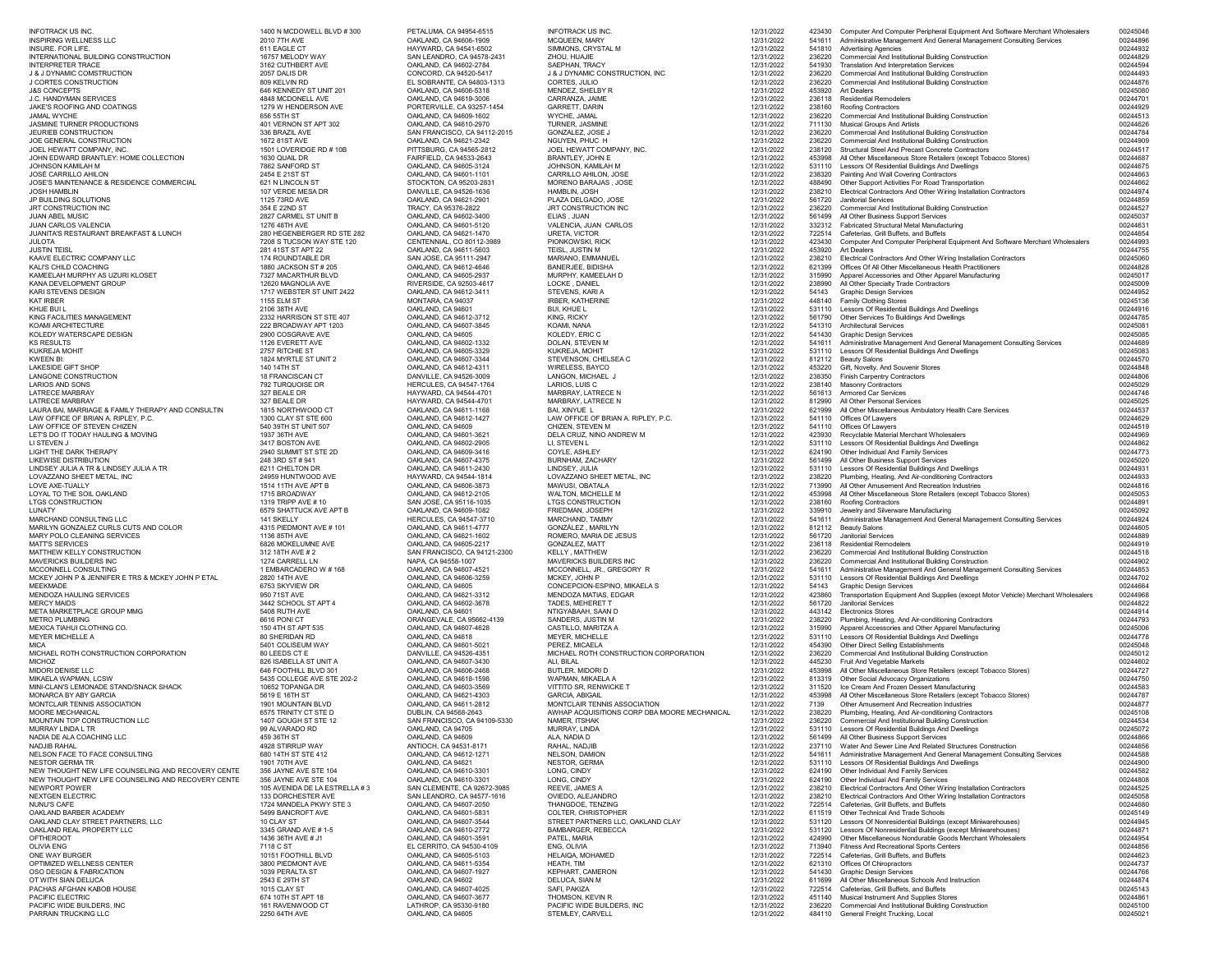| <b>INFOTRACK US INC.</b><br><b>INSPIRING WELLNESS LLC</b>                                                | 1400 N MCDOWELL BLVD # 300<br>2010 7TH AVE      | PETALUMA, CA 94954-6515<br>OAKLAND, CA 94606-1909        | <b>INFOTRACK US INC.</b><br><b>MCQUEEN, MARY</b>              | 12/31/2022<br>12/31/2022 | 423430           | Computer And Computer Peripheral Equipment And Software Merchant Wholesalers<br>541611 Administrative Management And General Management Consulting Services | 00245046<br>00244896 |
|----------------------------------------------------------------------------------------------------------|-------------------------------------------------|----------------------------------------------------------|---------------------------------------------------------------|--------------------------|------------------|-------------------------------------------------------------------------------------------------------------------------------------------------------------|----------------------|
| <b>INSURE. FOR LIFE.</b><br><b>INTERNATIONAL BUILDING CONSTRUCTION</b>                                   | 611 EAGLE CT<br>16757 MELODY WAY                | HAYWARD, CA 94541-6502<br>SAN LEANDRO, CA 94578-2431     | SIMMONS, CRYSTAL M<br>ZHOU, HUAJIE                            | 12/31/2022<br>12/31/2022 | 236220           | 541810 Advertising Agencies<br><b>Commercial And Institutional Building Construction</b>                                                                    | 00244932<br>00244829 |
| <b>INTERPRETER TRACE</b>                                                                                 | 3162 CUTHBERT AVE                               | OAKLAND, CA 94602-2784                                   | <b>SAEPHAN, TRACY</b>                                         | 12/31/2022               | 541930           | <b>Translation And Interpretation Services</b>                                                                                                              | 00244594             |
| <b>J &amp; J DYNAMIC COMSTRUCTION</b><br><b>J CORTES CONSTRUCTION</b>                                    | 2057 DALIS DR<br>809 KELVIN RD                  | CONCORD, CA 94520-5417<br>EL SOBRANTE, CA 94803-1313     | J & J DYNAMIC CONSTRUCTION, INC<br>CORTES, JULIO              | 12/31/2022<br>12/31/2022 | 236220<br>236220 | <b>Commercial And Institutional Building Construction</b><br><b>Commercial And Institutional Building Construction</b>                                      | 00244493<br>00244876 |
| <b>J&amp;S CONCEPTS</b>                                                                                  | 646 KENNEDY ST UNIT 201                         | OAKLAND, CA 94606-5318                                   | MENDEZ, SHELBY R                                              | 12/31/2022               | 453920           | <b>Art Dealers</b>                                                                                                                                          | 00245080             |
| J.C. HANDYMAN SERVICES<br>JAKE'S ROOFING AND COATINGS                                                    | 4848 MCDONELL AVE<br>1279 W HENDERSON AVE       | OAKLAND, CA 94619-3006<br>PORTERVILLE, CA 93257-1454     | CARRANZA, JAIME<br><b>GARRETT, DARIN</b>                      | 12/31/2022<br>12/31/2022 | 236118<br>238160 | <b>Residential Remodelers</b>                                                                                                                               | 00244701<br>00244929 |
| <b>JAMAL WYCHE</b>                                                                                       | 656 55TH ST                                     | OAKLAND, CA 94609-1602                                   | WYCHE, JAMAL                                                  | 12/31/2022               | 236220           | <b>Roofing Contractors</b><br><b>Commercial And Institutional Building Construction</b>                                                                     | 00244513             |
| <b>JASMINE TURNER PRODUCTIONS</b>                                                                        | 401 VERNON ST APT 302                           | OAKLAND, CA 94610-2970                                   | TURNER, JASMINE                                               | 12/31/2022               |                  | 711130 Musical Groups And Artists                                                                                                                           | 00244626             |
| <b>JEURIEB CONSTRUCTION</b><br>JOE GENERAL CONSTRUCTION                                                  | 336 BRAZIL AVE<br>1672 81ST AVE                 | SAN FRANCISCO, CA 94112-2015<br>OAKLAND, CA 94621-2342   | <b>GONZALEZ, JOSE J</b><br>NGUYEN, PHUC H                     | 12/31/2022<br>12/31/2022 | 236220<br>236220 | <b>Commercial And Institutional Building Construction</b><br><b>Commercial And Institutional Building Construction</b>                                      | 00244784<br>00244909 |
| JOEL HEWATT COMPANY, INC.                                                                                | 1501 LOVERIDGE RD # 10B                         | PITTSBURG, CA 94565-2812                                 | JOEL HEWATT COMPANY, INC.                                     | 12/31/2022               | 238120           | <b>Structural Steel And Precast Concrete Contractors</b>                                                                                                    | 00244517             |
| JOHN EDWARD BRANTLEY: HOME COLLECTION                                                                    | 1630 QUAIL DR                                   | FAIRFIELD, CA 94533-2643                                 | <b>BRANTLEY, JOHN E</b>                                       | 12/31/2022               | 453998           | All Other Miscellaneous Store Retailers (except Tobacco Stores)                                                                                             | 00244687             |
| JOHNSON KAMILAH M<br>JOSÉ CARRILLO AHILON                                                                | 7862 SANFORD ST<br>2454 E 21ST ST               | OAKLAND, CA 94605-3124<br>OAKLAND, CA 94601-1101         | JOHNSON, KAMILAH M<br><b>CARRILLO AHILON, JOSE</b>            | 12/31/2022<br>12/31/2022 | 238320           | 531110 Lessors Of Residential Buildings And Dwellings<br><b>Painting And Wall Covering Contractors</b>                                                      | 00244675<br>00244663 |
| <b>JOSE'S MAINTENANCE &amp; RESIDENCE COMMERCIAL</b>                                                     | 621 N LINCOLN ST                                | STOCKTON, CA 95203-2831                                  | MORENO BARAJAS, JOSE                                          | 12/31/2022               | 488490           | Other Support Activities For Road Transportation                                                                                                            | 00244662             |
| <b>JOSH HAMBLIN</b><br>JP BUILDING SOLUTIONS                                                             | 107 VERDE MESA DR<br>1125 73RD AVE              | DANVILLE, CA 94526-1636<br>OAKLAND, CA 94621-2901        | HAMBLIN, JOSH<br>PLAZA DELGADO, JOSE                          | 12/31/2022<br>12/31/2022 | 238210<br>561720 | Electrical Contractors And Other Wiring Installation Contractors<br><b>Janitorial Services</b>                                                              | 00244974<br>00244859 |
| JRT CONSTRUCTION INC                                                                                     | 354 E 22ND ST                                   | TRACY, CA 95376-2822                                     | JRT CONSTRUCTION INC                                          | 12/31/2022               | 236220           | <b>Commercial And Institutional Building Construction</b>                                                                                                   | 00244527             |
| <b>JUAN ABEL MUSIC</b>                                                                                   | 2827 CARMEL ST UNIT B                           | OAKLAND, CA 94602-3400                                   | ELIAS, JUAN                                                   | 12/31/2022               | 561499           | All Other Business Support Services                                                                                                                         | 00245037             |
| <b>JUAN CARLOS VALENCIA</b><br>JUANITA'S RESTAURANT BREAKFAST & LUNCH                                    | 1276 48TH AVE<br>280 HEGENBERGER RD STE 282     | OAKLAND, CA 94601-5120<br>OAKLAND, CA 94621-1470         | VALENCIA, JUAN CARLOS<br><b>URETA, VICTOR</b>                 | 12/31/2022<br>12/31/2022 |                  | 332312 Fabricated Structural Metal Manufacturing<br>722514 Cafeterias, Grill Buffets, and Buffets                                                           | 00244631<br>00244654 |
| JULOTA                                                                                                   | 7208 S TUCSON WAY STE 120                       | CENTENNIAL, CO 80112-3989                                | PIONKOWSKI, RICK                                              | 12/31/2022               | 423430           | Computer And Computer Peripheral Equipment And Software Merchant Wholesalers                                                                                | 00244993             |
| <b>JUSTIN TEISL</b><br>KAAVE ELECTRIC COMPANY LLC                                                        | 281 41ST ST APT 22<br>174 ROUNDTABLE DR         | OAKLAND, CA 94611-5603<br>SAN JOSE, CA 95111-2947        | TEISL, JUSTIN M<br><b>MARIANO, EMMANUEL</b>                   | 12/31/2022<br>12/31/2022 | 453920<br>238210 | <b>Art Dealers</b><br>Electrical Contractors And Other Wiring Installation Contractors                                                                      | 00244755<br>00245060 |
| KALI'S CHILD COACHING                                                                                    | 1880 JACKSON ST # 205                           | OAKLAND, CA 94612-4646                                   | <b>BANERJEE, BIDISHA</b>                                      | 12/31/2022               | 621399           | Offices Of All Other Miscellaneous Health Practitioners                                                                                                     | 00244828             |
| KAMEELAH MURPHY AS UZURI KLOSET                                                                          | 7327 MACARTHUR BLVD                             | OAKLAND, CA 94605-2937                                   | MURPHY, KAMEELAH D                                            | 12/31/2022               | 315990           | Apparel Accessories and Other Apparel Manufacturing                                                                                                         | 00245017             |
| KANA DEVELOPMENT GROUP<br>KARI STEVENS DESIGN                                                            | 12620 MAGNOLIA AVE<br>1717 WEBSTER ST UNIT 2422 | RIVERSIDE, CA 92503-4617<br>OAKLAND, CA 94612-3411       | LOCKE, DANIEL<br>STEVENS, KARI A                              | 12/31/2022<br>12/31/2022 | 238990<br>54143  | All Other Specialty Trade Contractors<br><b>Graphic Design Services</b>                                                                                     | 00245009<br>00244952 |
| KAT IRBER                                                                                                | <b>1155 ELM ST</b>                              | MONTARA, CA 94037                                        | <b>IRBER, KATHERINE</b>                                       | 12/31/2022               |                  | 448140 Family Clothing Stores                                                                                                                               | 00245136             |
| KHUE BUI L<br>KING FACILITIES MANAGEMENT                                                                 | 2106 38TH AVE<br>2332 HARRISON ST STE 407       | OAKLAND, CA 94601<br>OAKLAND, CA 94612-3712              | <b>BUI, KHUE L</b><br>KING, RICKY                             | 12/31/2022<br>12/31/2022 |                  | 531110 Lessors Of Residential Buildings And Dwellings<br>561790 Other Services To Buildings And Dwellings                                                   | 00244916<br>00244785 |
| KOAMI ARCHITECTURE                                                                                       | 222 BROADWAY APT 1203                           | OAKLAND, CA 94607-3845                                   | KOAMI, NANA                                                   | 12/31/2022               |                  | 541310 Architectural Services                                                                                                                               | 00245081             |
| KOLEDY WATERSCAPE DESIGN                                                                                 | 2900 COSGRAVE AVE                               | OAKLAND, CA 94605<br>OAKLAND, CA 94602-1332              | KOLEDY, ERIC C                                                | 12/31/2022               |                  | 541430 Graphic Design Services<br>541611 Administrative Management And General Management Consulting Services                                               | 00245085<br>00244689 |
| KS RESULTS<br>KUKREJA MOHIT                                                                              | 1126 EVERETT AVE<br>2757 RITCHIE ST             | OAKLAND, CA 94605-3329                                   | DOLAN, STEVEN M<br>KUKREJA, MOHIT                             | 12/31/2022<br>12/31/2022 |                  | 531110 Lessors Of Residential Buildings And Dwellings                                                                                                       | 00245083             |
| KWEEN BI:                                                                                                | 1824 MYRTLE ST UNIT 2                           | OAKLAND, CA 94607-3344                                   | STEVENSON, CHELSEA C                                          | 12/31/2022               |                  | 812112 Beauty Salons                                                                                                                                        | 00244570             |
| LAKESIDE GIFT SHOP<br>LANGONE CONSTRUCTION                                                               | 140 14TH ST<br><b>18 FRANCISCAN CT</b>          | OAKLAND, CA 94612-4311<br>DANVILLE, CA 94526-3009        | <b>WIRELESS, BAYCO</b><br>LANGON, MICHAEL J                   | 12/31/2022<br>12/31/2022 |                  | 453220 Gift, Novelty, And Souvenir Stores<br>238350 Finish Carpentry Contractors                                                                            | 00244848<br>00244806 |
| LARIOS AND SONS                                                                                          | 792 TURQUOISE DR                                | <b>HERCULES, CA 94547-1764</b>                           | LARIOS, LUIS C                                                | 12/31/2022               |                  | 238140 Masonry Contractors                                                                                                                                  | 00245029             |
| LATRECE MARBRAY                                                                                          | 327 BEALE DR                                    | HAYWARD, CA 94544-4701                                   | MARBRAY, LATRECE N                                            | 12/31/2022               |                  | 561613 Armored Car Services                                                                                                                                 | 00244746             |
| LATRECE MARBRAY<br>LAURA BAI, MARRIAGE & FAMILY THERAPY AND CONSULTIN                                    | 327 BEALE DR<br>1815 NORTHWOOD CT               | HAYWARD, CA 94544-4701<br>OAKLAND, CA 94611-1168         | <b>MARBRAY, LATRECE N</b><br><b>BAI, XINYUE L</b>             | 12/31/2022<br>12/31/2022 |                  | 812990 All Other Personal Services<br>621999 All Other Miscellaneous Ambulatory Health Care Services                                                        | 00245025<br>00244537 |
| LAW OFFICE OF BRIAN A. RIPLEY, P.C.                                                                      | 1300 CLAY ST STE 600                            | OAKLAND, CA 94612-1427                                   | LAW OFFICE OF BRIAN A. RIPLEY, P.C.                           | 12/31/2022               |                  | 541110 Offices Of Lawyers                                                                                                                                   | 00244629             |
| LAW OFFICE OF STEVEN CHIZEN<br>LET'S DO IT TODAY HAULING & MOVING                                        | 540 39TH ST UNIT 507<br>1937 36TH AVE           | OAKLAND, CA 94609<br>OAKLAND, CA 94601-3621              | CHIZEN, STEVEN M<br>DELA CRUZ, NINO ANDREW M                  | 12/31/2022<br>12/31/2022 | 423930           | 541110 Offices Of Lawyers<br>Recyclable Material Merchant Wholesalers                                                                                       | 00244519<br>00244969 |
| LI STEVEN J                                                                                              | 3417 BOSTON AVE                                 | OAKLAND, CA 94602-2905                                   | LI, STEVEN L                                                  | 12/31/2022               |                  | 531110 Lessors Of Residential Buildings And Dwellings                                                                                                       | 00244862             |
| <b>LIGHT THE DARK THERAPY</b><br><b>LIKEWISE DISTRIBUTION</b>                                            | 2940 SUMMIT ST STE 2D<br>248 3RD ST # 941       | OAKLAND, CA 94609-3416<br>OAKLAND, CA 94607-4375         | COYLE, ASHLEY<br><b>BURNHAM, ZACHARY</b>                      | 12/31/2022<br>12/31/2022 |                  | 624190 Other Individual And Family Services<br>561499 All Other Business Support Services                                                                   | 00244773<br>00245020 |
| LINDSEY JULIA A TR & LINDSEY JULIA A TR                                                                  | 6211 CHELTON DR                                 | OAKLAND, CA 94611-2430                                   | LINDSEY, JULIA                                                | 12/31/2022               |                  | 531110 Lessors Of Residential Buildings And Dwellings                                                                                                       | 00244931             |
| LOVAZZANO SHEET METAL, INC                                                                               | 24959 HUNTWOOD AVE                              | HAYWARD, CA 94544-1814                                   | LOVAZZANO SHEET METAL, INC                                    | 12/31/2022               | 238220           | Plumbing, Heating, And Air-conditioning Contractors                                                                                                         | 00244933             |
| <b>LOVE AXE-TUALLY</b><br>LOYAL TO THE SOIL OAKLAND                                                      | 1514 11TH AVE APT B<br>1715 BROADWAY            | OAKLAND, CA 94606-3873<br>OAKLAND, CA 94612-2105         | MAWUSI, OBATALA<br><b>WALTON, MICHELLE M</b>                  | 12/31/2022<br>12/31/2022 | 453998           | 713990 All Other Amusement And Recreation Industries<br>All Other Miscellaneous Store Retailers (except Tobacco Stores)                                     | 00244816<br>00245053 |
| LTGS CONSTRUCTION                                                                                        | 1319 TRIPP AVE # 10                             | SAN JOSE, CA 95116-1035                                  | <b>LTGS CONSTRUCTION</b>                                      | 12/31/2022               |                  | 238160 Roofing Contractors                                                                                                                                  | 00244891             |
| LUNATY<br>MARCHAND CONSULTING LLC                                                                        | 6579 SHATTUCK AVE APT B<br>141 SKELLY           | OAKLAND, CA 94609-1082<br><b>HERCULES, CA 94547-3710</b> | FRIEDMAN, JOSEPH<br>MARCHAND, TAMMY                           | 12/31/2022<br>12/31/2022 |                  | 339910 Jewelry and Silverware Manufacturing<br>541611 Administrative Management And General Management Consulting Services                                  | 00245092<br>00244924 |
| MARILYN GONZALEZ CURLS CUTS AND COLOR                                                                    | 4315 PIEDMONT AVE #101                          | OAKLAND, CA 94611-4777                                   | GONZÁLEZ , MARILYN                                            | 12/31/2022               |                  | 812112 Beauty Salons                                                                                                                                        | 00244605             |
| MARY POLO CLEANING SERVICES                                                                              | 1136 85TH AVE                                   | OAKLAND, CA 94621-1602                                   | ROMERO, MARIA DE JESUS                                        | 12/31/2022               |                  | 561720 Janitorial Services                                                                                                                                  | 00244889             |
| <b>MATT'S SERVICES</b><br>MATTHEW KELLY CONSTRUCTION                                                     | 6826 MOKELUMNE AVE<br>312 18TH AVE # 2          | OAKLAND, CA 94605-2217<br>SAN FRANCISCO, CA 94121-2300   | <b>GONZALEZ, MATT</b><br><b>KELLY, MATTHEW</b>                | 12/31/2022<br>12/31/2022 | 236118<br>236220 | <b>Residential Remodelers</b><br><b>Commercial And Institutional Building Construction</b>                                                                  | 00244919<br>00244518 |
| MAVERICKS BUILDERS INC                                                                                   | 1274 CARRELL LN                                 | NAPA, CA 94558-1007                                      | MAVERICKS BUILDERS INC                                        | 12/31/2022               | 236220           | <b>Commercial And Institutional Building Construction</b>                                                                                                   | 00244902             |
| MCCONNELL CONSULTING<br>MCKEY JOHN P & JENNIFER E TRS & MCKEY JOHN P ETAL                                | 1 EMBARCADERO W # 168<br>2820 14TH AVE          | OAKLAND, CA 94607-4521<br>OAKLAND, CA 94606-3259         | MCCONNELL, JR., GREGORY R<br>MCKEY, JOHN P                    | 12/31/2022<br>12/31/2022 |                  | 541611 Administrative Management And General Management Consulting Services<br>531110 Lessors Of Residential Buildings And Dwellings                        | 00244853<br>00244702 |
| MEEKMADE                                                                                                 | 6753 SKYVIEW DR                                 | OAKLAND, CA 94605                                        | CONCEPCION-ESPINO, MIKAELA S                                  | 12/31/2022               | 54143            | <b>Graphic Design Services</b>                                                                                                                              | 00244664             |
| MENDOZA HAULING SERVICES<br><b>MERCY MAIDS</b>                                                           | 950 71ST AVE                                    | OAKLAND, CA 94621-3312<br>OAKLAND, CA 94602-3678         | MENDOZA MATIAS, EDGAR                                         | 12/31/2022               | 423860<br>561720 | Transportation Equipment And Supplies (except Motor Vehicle) Merchant Wholesalers<br><b>Janitorial Services</b>                                             | 00244968<br>00244822 |
| META MARKETPLACE GROUP MMG                                                                               | 3442 SCHOOL ST APT 4<br>5408 RUTH AVE           | OAKLAND, CA 94601                                        | <b>TADES, MEHERET T</b><br>NTIGYABAAH, SAAN D                 | 12/31/2022<br>12/31/2022 |                  | 443142 Electronics Stores                                                                                                                                   | 00244914             |
| <b>METRO PLUMBING</b>                                                                                    | 6616 PONICT                                     | ORANGEVALE, CA 95662-4139                                | <b>SANDERS, JUSTIN M</b>                                      | 12/31/2022               |                  | 238220 Plumbing, Heating, And Air-conditioning Contractors                                                                                                  | 00244793             |
| MEXICA TIAHUI CLOTHING CO.<br>MEYER MICHELLE A                                                           | 150 4TH ST APT 535<br><b>80 SHERIDAN RD</b>     | OAKLAND, CA 94607-4628<br>OAKLAND, CA 94618              | CASTILLO, MARITZA A<br><b>MEYER, MICHELLE</b>                 | 12/31/2022<br>12/31/2022 |                  | Apparel Accessories and Other Apparel Manufacturing<br>531110 Lessors Of Residential Buildings And Dwellings                                                | 00245006<br>00244778 |
| MICA                                                                                                     | 5401 COLISEUM WAY                               | OAKLAND, CA 94601-5021                                   | PEREZ, MICAELA                                                | 12/31/2022               | 454390           | <b>Other Direct Selling Establishments</b>                                                                                                                  | 00245048             |
| MICHAEL ROTH CONSTRUCTION CORPORATION<br>MICHOZ                                                          | 80 LEEDS CT E<br>826 ISABELLA ST UNIT A         | DANVILLE, CA 94526-4351<br>OAKLAND, CA 94607-3430        | MICHAEL ROTH CONSTRUCTION CORPORATION<br>ALI, BILAL           | 12/31/2022<br>12/31/2022 | 236220<br>445230 | <b>Commercial And Institutional Building Construction</b><br><b>Fruit And Vegetable Markets</b>                                                             | 00245012<br>00244602 |
| <b>MIDORI DENISE LLC</b>                                                                                 | 646 FOOTHILL BLVD 301                           | OAKLAND, CA 94606-2468                                   | <b>BUTLER, MIDORI D</b>                                       | 12/31/2022               | 453998           | All Other Miscellaneous Store Retailers (except Tobacco Stores)                                                                                             | 00244727             |
| MIKAELA WAPMAN, LCSW                                                                                     | 5435 COLLEGE AVE STE 202-2                      | OAKLAND, CA 94618-1598                                   | WAPMAN, MIKAELA A                                             | 12/31/2022               |                  | 813319 Other Social Advocacy Organizations                                                                                                                  | 00244750             |
| MINI-CLAN'S LEMONADE STAND/SNACK SHACK<br>MONARCA BY ABY GARCIA                                          | 10652 TOPANGA DR<br>5619 E 16TH ST              | OAKLAND, CA 94603-3569<br>OAKLAND, CA 94621-4303         | VITTITO SR, RENWICKE T<br><b>GARCIA, ABIGAIL</b>              | 12/31/2022<br>12/31/2022 | 311520<br>453998 | Ice Cream And Frozen Dessert Manufacturing<br>All Other Miscellaneous Store Retailers (except Tobacco Stores)                                               | 00244583<br>00244787 |
| MONTCLAIR TENNIS ASSOCIATION                                                                             | 1901 MOUNTAIN BLVD                              | OAKLAND, CA 94611-2812                                   | MONTCLAIR TENNIS ASSOCIATION                                  | 12/31/2022               | 7139             | Other Amusement And Recreation Industries                                                                                                                   | 00244877             |
| <b>MOORE MECHANICAL</b><br>MOUNTAIN TOP CONSTRUCTION LLC                                                 | 6575 TRINITY CT STE D<br>1407 GOUGH ST STE 12   | DUBLIN, CA 94568-2643<br>SAN FRANCISCO, CA 94109-5330    | AWHAP ACQUISITIONS CORP DBA MOORE MECHANICAL<br>NAMER, ITSHAK | 12/31/2022<br>12/31/2022 | 238220<br>236220 | Plumbing, Heating, And Air-conditioning Contractors<br><b>Commercial And Institutional Building Construction</b>                                            | 00245108<br>00244534 |
| MURRAY LINDA L TR                                                                                        | 99 ALVARADO RD                                  | OAKLAND, CA 94705                                        | MURRAY, LINDA                                                 | 12/31/2022               |                  | 531110 Lessors Of Residential Buildings And Dwellings                                                                                                       | 00245072             |
| NADIA DE ALA COACHING LLC                                                                                | 459 36TH ST<br>4928 STIRRUP WAY                 | OAKLAND, CA 94609                                        | ALA, NADIA D                                                  | 12/31/2022               |                  | 561499 All Other Business Support Services<br>237110 Water And Sewer Line And Related Structures Construction                                               | 00244866<br>00244656 |
| <b>NADJIB RAHAL</b><br>NELSON FACE TO FACE CONSULTING                                                    | 680 14TH ST STE 412                             | ANTIOCH, CA 94531-8171<br>OAKLAND, CA 94612-1271         | RAHAL, NADJIB<br><b>NELSON, DAMION</b>                        | 12/31/2022<br>12/31/2022 |                  | 541611 Administrative Management And General Management Consulting Services                                                                                 | 00244588             |
| <b>NESTOR GERMA TR</b>                                                                                   | 1901 70TH AVE                                   | OAKLAND, CA 94621                                        | NESTOR, GERMA                                                 | 12/31/2022               |                  | 531110 Lessors Of Residential Buildings And Dwellings                                                                                                       | 00244900             |
| NEW THOUGHT NEW LIFE COUNSELING AND RECOVERY CENTE<br>NEW THOUGHT NEW LIFE COUNSELING AND RECOVERY CENTE | 356 JAYNE AVE STE 104<br>356 JAYNE AVE STE 104  | OAKLAND, CA 94610-3301<br>OAKLAND, CA 94610-3301         | LONG, CINDY<br>LONG, CINDY                                    | 12/31/2022<br>12/31/2022 |                  | 624190 Other Individual And Family Services<br>624190 Other Individual And Family Services                                                                  | 00244582<br>00244808 |
| <b>NEWPORT POWER</b>                                                                                     | 105 AVENIDA DE LA ESTRELLA #3                   | SAN CLEMENTE, CA 92672-3985                              | REEVE, JAMES A                                                | 12/31/2022               |                  | 238210 Electrical Contractors And Other Wiring Installation Contractors                                                                                     | 00244525             |
| <b>NEXTGEN ELECTRIC</b>                                                                                  | 133 DORCHESTER AVE                              | SAN LEANDRO, CA 94577-1616                               | OVIEDO, ALEJANDRO                                             | 12/31/2022               |                  | 238210 Electrical Contractors And Other Wiring Installation Contractors                                                                                     | 00245058<br>00244680 |
| <b>NUNU'S CAFE</b><br>OAKLAND BARBER ACADEMY                                                             | 1724 MANDELA PKWY STE 3<br>5499 BANCROFT AVE    | OAKLAND, CA 94607-2050<br>OAKLAND, CA 94601-5831         | THANGDOE, TENZING<br><b>COLTER, CHRISTOPHER</b>               | 12/31/2022<br>12/31/2022 |                  | 722514 Cafeterias, Grill Buffets, and Buffets<br>611519 Other Technical And Trade Schools                                                                   | 00245149             |
| OAKLAND CLAY STREET PARTNERS, LLC                                                                        | 10 CLAY ST                                      | OAKLAND, CA 94607-3544                                   | STREET PARTNERS LLC, OAKLAND CLAY                             | 12/31/2022               |                  | Lessors Of Nonresidential Buildings (except Miniwarehouses)                                                                                                 | 00244945             |
| OAKLAND REAL PROPERTY LLC<br><b>OFTHEROOT</b>                                                            | 3345 GRAND AVE # 1-5<br>1436 36TH AVE # J1      | OAKLAND, CA 94610-2772<br>OAKLAND, CA 94601-3591         | <b>BAMBARGER, REBECCA</b><br>PATEL, MARIA                     | 12/31/2022<br>12/31/2022 | 424990           | Lessors Of Nonresidential Buildings (except Miniwarehouses)<br>Other Miscellaneous Nondurable Goods Merchant Wholesalers                                    | 00244871<br>00244954 |
| <b>OLIVIA ENG</b>                                                                                        | 7118 C ST                                       | EL CERRITO, CA 94530-4109                                | ENG, OLIVIA                                                   | 12/31/2022               | 713940           | <b>Fitness And Recreational Sports Centers</b>                                                                                                              | 00244856             |
| ONE WAY BURGER<br>OPTIMIZED WELLNESS CENTER                                                              | 10151 FOOTHILL BLVD<br>3800 PIEDMONT AVE        | OAKLAND, CA 94605-5103<br>OAKLAND, CA 94611-5354         | <b>HELAIQA, MOHAMED</b><br>HEATH, TIM                         | 12/31/2022<br>12/31/2022 |                  | 722514 Cafeterias, Grill Buffets, and Buffets<br>621310 Offices Of Chiropractors                                                                            | 00244623<br>00244737 |
| OSO DESIGN & FABRICATION                                                                                 | 1039 PERALTA ST                                 | OAKLAND, CA 94607-1927                                   | <b>KEPHART, CAMERON</b>                                       | 12/31/2022               |                  | 541430 Graphic Design Services                                                                                                                              | 00244766             |
| OT WITH SIAN DELUCA                                                                                      | 2543 E 29TH ST                                  | OAKLAND, CA 94602                                        | DELUCA, SIAN M                                                | 12/31/2022               |                  | 611699 All Other Miscellaneous Schools And Instruction                                                                                                      | 00244874             |
| PACHAS AFGHAN KABOB HOUSE<br>PACIFIC ELECTRIC                                                            | 1015 CLAY ST<br>674 10TH ST APT 18              | OAKLAND, CA 94607-4025<br>OAKLAND, CA 94607-3677         | SAFI, PAKIZA<br>THOMSON, KEVIN R                              | 12/31/2022<br>12/31/2022 |                  | 722514 Cafeterias, Grill Buffets, and Buffets<br>451140 Musical Instrument And Supplies Stores                                                              | 00245143<br>00244861 |
| PACIFIC WIDE BUILDERS, INC                                                                               | 161 RAVENWOOD CT                                | LATHROP, CA 95330-9180                                   | PACIFIC WIDE BUILDERS, INC                                    | 12/31/2022               | 236220           | <b>Commercial And Institutional Building Construction</b>                                                                                                   | 00245100             |
| PARRAIN TRUCKING LLC                                                                                     | 2250 64TH AVE                                   | OAKLAND, CA 94605                                        | STEMLEY, CARVELL                                              | 12/31/2022               |                  | 484110 General Freight Trucking, Local                                                                                                                      | 00245021             |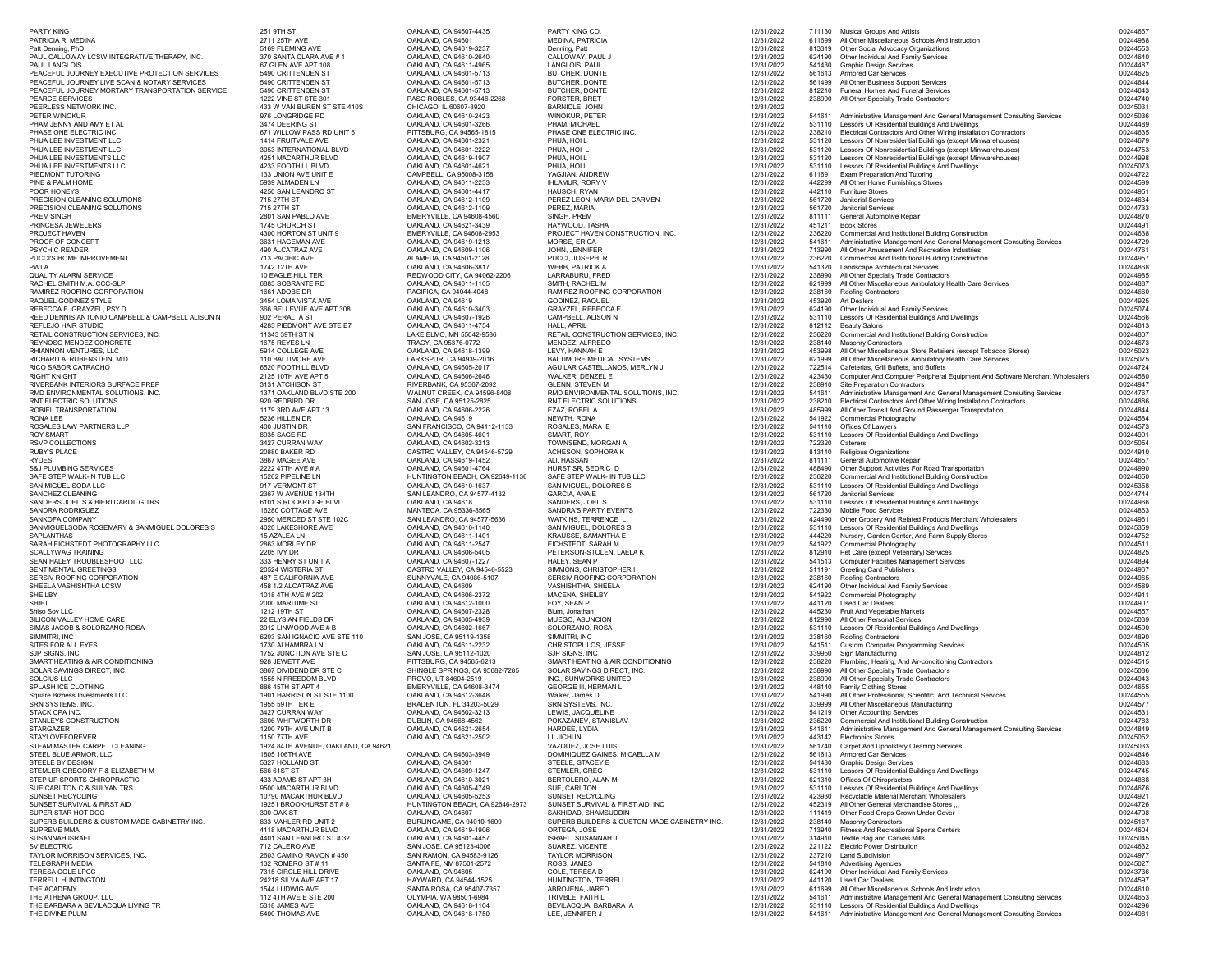| <b>PARTY KING</b>                                                              | 251 9TH ST                                          | OAKLAND, CA 94607-4435                                     | PARTY KING CO.                                               | 12/31/2022               | 711130           | <b>Musical Groups And Artists</b>                                                                                                      | 00244667             |
|--------------------------------------------------------------------------------|-----------------------------------------------------|------------------------------------------------------------|--------------------------------------------------------------|--------------------------|------------------|----------------------------------------------------------------------------------------------------------------------------------------|----------------------|
| PATRICIA R. MEDINA<br>Patt Denning, PhD                                        | 2711 25TH AVE<br>5169 FLEMING AVE                   | OAKLAND, CA 94601<br>OAKLAND, CA 94619-3237                | <b>MEDINA, PATRICIA</b><br>Denning, Patt                     | 12/31/2022<br>12/31/2022 | 611699           | All Other Miscellaneous Schools And Instruction<br>813319 Other Social Advocacy Organizations                                          | 00244988<br>00244553 |
| PAUL CALLOWAY LCSW INTEGRATIVE THERAPY, INC.                                   | 370 SANTA CLARA AVE #1                              | OAKLAND, CA 94610-2640                                     | CALLOWAY, PAUL J                                             | 12/31/2022               |                  | 624190 Other Individual And Family Services                                                                                            | 00244640             |
| <b>PAUL LANGLOIS</b><br>PEACEFUL JOURNEY EXECUTIVE PROTECTION SERVICES         | 67 GLEN AVE APT 108<br>5490 CRITTENDEN ST           | OAKLAND, CA 94611-4965<br>OAKLAND, CA 94601-5713           | LANGLOIS, PAUL<br><b>BUTCHER, DONTE</b>                      | 12/31/2022<br>12/31/2022 | 541430           | <b>Graphic Design Services</b><br>561613 Armored Car Services                                                                          | 00244487<br>00244625 |
| PEACEFUL JOURNEY LIVE SCAN & NOTARY SERVICES                                   | 5490 CRITTENDEN ST                                  | OAKLAND, CA 94601-5713                                     | <b>BUTCHER, DONTE</b>                                        | 12/31/2022               | 561499           | All Other Business Support Services                                                                                                    | 00244644             |
| PEACEFUL JOURNEY MORTARY TRANSPORTATION SERVICE                                | 5490 CRITTENDEN ST                                  | OAKLAND, CA 94601-5713                                     | <b>BUTCHER, DONTE</b>                                        | 12/31/2022               |                  | 812210 Funeral Homes And Funeral Services                                                                                              | 00244643             |
| PEARCE SERVICES<br>PEERLESS NETWORK INC.                                       | 1222 VINE ST STE 301<br>433 W VAN BUREN ST STE 410S | PASO ROBLES, CA 93446-2268<br>CHICAGO, IL 60607-3920       | <b>FORSTER, BRET</b><br><b>BARNICLE, JOHN</b>                | 12/31/2022<br>12/31/2022 | 238990           | All Other Specialty Trade Contractors                                                                                                  | 00244740<br>00245031 |
| PETER WINOKUR                                                                  | 976 LONGRIDGE RD                                    | OAKLAND, CA 94610-2423                                     | <b>WINOKUR, PETER</b>                                        | 12/31/2022               | 541611           | Administrative Management And General Management Consulting Services                                                                   | 00245036             |
| PHAM JENNY AND AMY ET AL                                                       | 3474 DEERING ST                                     | OAKLAND, CA 94601-3266                                     | PHAM, MICHAEL                                                | 12/31/2022               |                  | 531110 Lessors Of Residential Buildings And Dwellings                                                                                  | 00244489             |
| PHASE ONE ELECTRIC INC.<br>PHUA LEE INVESTMENT LLC                             | 671 WILLOW PASS RD UNIT 6<br>1414 FRUITVALE AVE     | PITTSBURG, CA 94565-1815<br>OAKLAND, CA 94601-2321         | PHASE ONE ELECTRIC INC.<br>PHUA, HOI L                       | 12/31/2022<br>12/31/2022 | 238210           | Electrical Contractors And Other Wiring Installation Contractors<br>531120 Lessors Of Nonresidential Buildings (except Miniwarehouses) | 00244635<br>00244679 |
| PHUA LEE INVESTMENT LLC                                                        | 3053 INTERNATIONAL BLVD                             | OAKLAND, CA 94601-2222                                     | PHUA, HOI L                                                  | 12/31/2022               |                  | 531120 Lessors Of Nonresidential Buildings (except Miniwarehouses)                                                                     | 00244753             |
| PHUA LEE INVESTMENTS LLC                                                       | 4251 MACARTHUR BLVD                                 | OAKLAND, CA 94619-1907                                     | PHUA, HOI L                                                  | 12/31/2022               |                  | 531120 Lessors Of Nonresidential Buildings (except Miniwarehouses)                                                                     | 00244998             |
| PHUA LEE INVESTMENTS LLC<br>PIEDMONT TUTORING                                  | 4233 FOOTHILL BLVD<br>133 UNION AVE UNIT E          | OAKLAND, CA 94601-4621<br>CAMPBELL, CA 95008-3158          | PHUA, HOI L<br>YAGJIAN, ANDREW                               | 12/31/2022<br>12/31/2022 | 611691           | 531110 Lessors Of Residential Buildings And Dwellings<br><b>Exam Preparation And Tutoring</b>                                          | 00245073<br>00244722 |
| PINE & PALM HOME                                                               | 5939 ALMADEN LN                                     | OAKLAND, CA 94611-2233                                     | <b>IHLAMUR, RORY V</b>                                       | 12/31/2022               | 442299           | All Other Home Furnishings Stores                                                                                                      | 00244599             |
| POOR HONEYS                                                                    | 4250 SAN LEANDRO ST                                 | OAKLAND, CA 94601-4417                                     | HAUSCH, RYAN                                                 | 12/31/2022               | 442110           | <b>Furniture Stores</b>                                                                                                                | 00244951             |
| PRECISION CLEANING SOLUTIONS                                                   | 715 27TH ST<br>715 27TH ST                          | OAKLAND, CA 94612-1109                                     | PEREZ LEON, MARIA DEL CARMEN                                 | 12/31/2022               | 561720<br>561720 | <b>Janitorial Services</b>                                                                                                             | 00244634             |
| PRECISION CLEANING SOLUTIONS<br>PREM SINGH                                     | 2801 SAN PABLO AVE                                  | OAKLAND, CA 94612-1109<br><b>EMERYVILLE, CA 94608-4560</b> | PEREZ, MARIA<br>SINGH, PREM                                  | 12/31/2022<br>12/31/2022 | 811111           | <b>Janitorial Services</b><br><b>General Automotive Repair</b>                                                                         | 00244733<br>00244870 |
| PRINCESA JEWELERS                                                              | 1745 CHURCH ST                                      | OAKLAND, CA 94621-3439                                     | HAYWOOD, TASHA                                               | 12/31/2022               | 451211           | <b>Book Stores</b>                                                                                                                     | 00244491             |
| PROJECT HAVEN<br>PROOF OF CONCEPT                                              | 4300 HORTON ST UNIT 9<br>3631 HAGEMAN AVE           | <b>EMERYVILLE, CA 94608-2953</b><br>OAKLAND, CA 94619-1213 | PROJECT HAVEN CONSTRUCTION, INC.<br>MORSE, ERICA             | 12/31/2022<br>12/31/2022 | 236220<br>541611 | <b>Commercial And Institutional Building Construction</b><br>Administrative Management And General Management Consulting Services      | 00244638<br>00244729 |
| <b>PSYCHIC READER</b>                                                          | 490 ALCATRAZ AVE                                    | OAKLAND, CA 94609-1106                                     | JOHN, JENNIFER                                               | 12/31/2022               | 713990           | All Other Amusement And Recreation Industries                                                                                          | 00244761             |
| PUCCI'S HOME IMPROVEMENT                                                       | 713 PACIFIC AVE                                     | ALAMEDA, CA 94501-2128                                     | PUCCI, JOSEPH R                                              | 12/31/2022               | 236220           | <b>Commercial And Institutional Building Construction</b>                                                                              | 00244957             |
| PWLA<br><b>QUALITY ALARM SERVICE</b>                                           | 1742 12TH AVE<br>10 EAGLE HILL TER                  | OAKLAND, CA 94606-3817                                     | <b>WEBB, PATRICK A</b>                                       | 12/31/2022               |                  | 541320 Landscape Architectural Services                                                                                                | 00244868             |
| RACHEL SMITH M.A. CCC-SLP                                                      | 6883 SOBRANTE RD                                    | REDWOOD CITY, CA 94062-2206<br>OAKLAND, CA 94611-1105      | <b>LARRABURU, FRED</b><br>SMITH, RACHEL M                    | 12/31/2022<br>12/31/2022 | 238990<br>621999 | All Other Specialty Trade Contractors<br>All Other Miscellaneous Ambulatory Health Care Services                                       | 00244985<br>00244887 |
| RAMIREZ ROOFING CORPORATION                                                    | 1661 ADOBE DR                                       | PACIFICA, CA 94044-4048                                    | RAMIREZ ROOFING CORPORATION                                  | 12/31/2022               |                  | 238160 Roofing Contractors                                                                                                             | 00244660             |
| RAQUEL GODINEZ STYLE                                                           | 3454 LOMA VISTA AVE                                 | OAKLAND, CA 94619                                          | <b>GODINEZ, RAQUEL</b>                                       | 12/31/2022               | 453920           | Art Dealers                                                                                                                            | 00244925             |
| REBECCA E. GRAYZEL, PSY.D.<br>REED DENNIS ANTONIO CAMPBELL & CAMPBELL ALISON N | 366 BELLEVUE AVE APT 308<br>902 PERALTA ST          | OAKLAND, CA 94610-3403<br>OAKLAND, CA 94607-1926           | <b>GRAYZEL, REBECCA E</b><br><b>CAMPBELL, ALISON N</b>       | 12/31/2022<br>12/31/2022 |                  | 624190 Other Individual And Family Services<br>531110 Lessors Of Residential Buildings And Dwellings                                   | 00245074<br>00244566 |
| REFLEJO HAIR STUDIO                                                            | 4283 PIEDMONT AVE STE E7                            | OAKLAND, CA 94611-4754                                     | <b>HALL, APRIL</b>                                           | 12/31/2022               |                  | 812112 Beauty Salons                                                                                                                   | 00244813             |
| RETAIL CONSTRUCTION SERVICES, INC.                                             | 11343 39TH ST N                                     | LAKE ELMO, MN 55042-9586                                   | RETAIL CONSTRUCTION SERVICES, INC.                           | 12/31/2022               |                  | 236220 Commercial And Institutional Building Construction                                                                              | 00244807             |
| REYNOSO MENDEZ CONCRETE<br>RHIANNON VENTURES, LLC                              | 1675 REYES LN<br>5914 COLLEGE AVE                   | TRACY, CA 95376-0772<br>OAKLAND, CA 94618-1399             | MENDEZ, ALFREDO<br>LEVY, HANNAH E                            | 12/31/2022<br>12/31/2022 |                  | 238140 Masonry Contractors<br>453998 All Other Miscellaneous Store Retailers (except Tobacco Stores)                                   | 00244673<br>00245023 |
| RICHARD A. RUBENSTEIN, M.D.                                                    | 110 BALTIMORE AVE                                   | LARKSPUR, CA 94939-2016                                    | <b>BALTIMORE MEDICAL SYSTEMS</b>                             | 12/31/2022               |                  | 621999 All Other Miscellaneous Ambulatory Health Care Services                                                                         | 00245075             |
| RICO SABOR CATRACHO                                                            | 6520 FOOTHILL BLVD                                  | OAKLAND, CA 94605-2017                                     | AGUILAR CASTELLANOS, MERLYN J                                | 12/31/2022               |                  | 722514 Cafeterias, Grill Buffets, and Buffets                                                                                          | 00244724             |
| <b>RIGHT KNIGHT</b><br>RIVERBANK INTERIORS SURFACE PREP                        | 2125 10TH AVE APT 5<br>3131 ATCHISON ST             | OAKLAND, CA 94606-2646<br>RIVERBANK, CA 95367-2092         | <b>WALKER, DENZEL E</b><br><b>GLENN, STEVEN M</b>            | 12/31/2022<br>12/31/2022 |                  | 423430 Computer And Computer Peripheral Equipment And Software Merchant Wholesalers<br>238910 Site Preparation Contractors             | 00244580<br>00244947 |
| RMD ENVIRONMENTAL SOLUTIONS, INC.                                              | 1371 OAKLAND BLVD STE 200                           | <b>WALNUT CREEK, CA 94596-8408</b>                         | RMD ENVIRONMENTAL SOLUTIONS, INC.                            | 12/31/2022               | 541611           | Administrative Management And General Management Consulting Services                                                                   | 00244767             |
| RNT ELECTRIC SOLUTIONS                                                         | 920 REDBIRD DR                                      | SAN JOSE, CA 95125-2825                                    | <b>RNT ELECTRIC SOLUTIONS</b>                                | 12/31/2022               |                  | 238210 Electrical Contractors And Other Wiring Installation Contractors                                                                | 00244886             |
| ROBIEL TRANSPORTATION<br>RONA LEE                                              | 1179 3RD AVE APT 13<br>5236 HILLEN DR               | OAKLAND, CA 94606-2226<br>OAKLAND, CA 94619                | EZAZ, ROBEL A<br>NEWTH, RONA                                 | 12/31/2022<br>12/31/2022 | 485999           | All Other Transit And Ground Passenger Transportation<br>541922 Commercial Photography                                                 | 00244844<br>00244584 |
| ROSALES LAW PARTNERS LLP                                                       | 400 JUSTIN DR                                       | SAN FRANCISCO, CA 94112-1133                               | ROSALES, MARA E                                              | 12/31/2022               |                  | 541110 Offices Of Lawyers                                                                                                              | 00244573             |
| <b>ROY SMART</b>                                                               | 8935 SAGE RD                                        | OAKLAND, CA 94605-4601                                     | SMART, ROY                                                   | 12/31/2022               |                  | 531110 Lessors Of Residential Buildings And Dwellings                                                                                  | 00244991             |
| RSVP COLLECTIONS                                                               | 3427 CURRAN WAY                                     | OAKLAND, CA 94602-3213                                     | TOWNSEND, MORGAN A                                           | 12/31/2022               | 722320           | Caterers                                                                                                                               | 00245054             |
| <b>RUBY'S PLACE</b><br><b>RYDES</b>                                            | 20880 BAKER RD<br>3867 MAGEE AVE                    | CASTRO VALLEY, CA 94546-5729<br>OAKLAND, CA 94619-1452     | ACHESON, SOPHORA K<br>ALI, HASSAN                            | 12/31/2022<br>12/31/2022 | 811111           | 813110 Religious Organizations<br>General Automotive Repair                                                                            | 00244910<br>00244657 |
| <b>S&amp;J PLUMBING SERVICES</b>                                               | 2222 47TH AVE # A                                   | OAKLAND, CA 94601-4764                                     | HURST SR, SEDRIC D                                           | 12/31/2022               |                  | 488490 Other Support Activities For Road Transportation                                                                                | 00244990             |
| SAFE STEP WALK-IN TUB LLC                                                      | 15262 PIPELINE LN                                   | HUNTINGTON BEACH, CA 92649-1136                            | SAFE STEP WALK- IN TUB LLC                                   | 12/31/2022               | 236220           | <b>Commercial And Institutional Building Construction</b>                                                                              | 00244650             |
| SAN MIGUEL SODA LLC<br>SANCHEZ CLEANING                                        | 917 VERMONT ST<br>2367 W AVENUE 134TH               | OAKLAND, CA 94610-1637<br>SAN LEANDRO, CA 94577-4132       | SAN MIGUEL, DOLORES S<br>GARCIA, ANA E                       | 12/31/2022<br>12/31/2022 |                  | 531110 Lessors Of Residential Buildings And Dwellings<br>561720 Janitorial Services                                                    | 00245358<br>00244744 |
| SANDERS JOEL S & BIERI CAROL G TRS                                             | 6101 S ROCKRIDGE BLVD                               | OAKLAND, CA 94618                                          | SANDERS, JOEL S                                              | 12/31/2022               |                  | 531110 Lessors Of Residential Buildings And Dwellings                                                                                  | 00244966             |
| SANDRA RODRIGUEZ                                                               | 16280 COTTAGE AVE                                   | MANTECA, CA 95336-8565                                     | <b>SANDRA'S PARTY EVENTS</b>                                 | 12/31/2022               | 722330           | Mobile Food Services                                                                                                                   | 00244863             |
| SANKOFA COMPANY<br>SANMIGUELSODA ROSEMARY & SANMIGUEL DOLORES S                | 2950 MERCED ST STE 102C<br>4020 LAKESHORE AVE       | SAN LEANDRO, CA 94577-5636<br>OAKLAND, CA 94610-1140       | <b>WATKINS, TERRENCE L</b><br>SAN MIGUEL, DOLORES S          | 12/31/2022<br>12/31/2022 |                  | 424490 Other Grocery And Related Products Merchant Wholesalers<br>531110 Lessors Of Residential Buildings And Dwellings                | 00244961<br>00245359 |
| SAPLANTHAS                                                                     | 15 AZALEA LN                                        | OAKLAND, CA 94611-1401                                     | <b>KRAUSSE, SAMANTHA E</b>                                   | 12/31/2022               | 444220           | Nursery, Garden Center, And Farm Supply Stores                                                                                         | 00244752             |
| SARAH EICHSTEDT PHOTOGRAPHY LLC                                                | 2863 MORLEY DR                                      | OAKLAND, CA 94611-2547                                     | EICHSTEDT, SARAH M                                           | 12/31/2022               |                  | 541922 Commercial Photography                                                                                                          | 00244511             |
| SCALLYWAG TRAINING<br>SEAN HALEY TROUBLESHOOT LLC                              | 2205 IVY DR<br>333 HENRY ST UNIT A                  | OAKLAND, CA 94606-5405<br>OAKLAND, CA 94607-1227           | PETERSON-STOLEN, LAELA K<br>HALEY, SEAN P                    | 12/31/2022<br>12/31/2022 |                  | 812910 Pet Care (except Veterinary) Services<br>541513 Computer Facilities Management Services                                         | 00244825<br>00244894 |
| SENTIMENTAL GREETINGS                                                          | 20524 WISTERIA ST                                   | CASTRO VALLEY, CA 94546-5523                               | SIMMONS, CHRISTOPHER I                                       | 12/31/2022               | 511191           | <b>Greeting Card Publishers</b>                                                                                                        | 00244967             |
| SERSIV ROOFING CORPORATION                                                     | 487 E CALIFORNIA AVE                                | SUNNYVALE, CA 94086-5107                                   | SERSIV ROOFING CORPORATION                                   | 12/31/2022               |                  | 238160 Roofing Contractors                                                                                                             | 00244965             |
| SHEELA VASHISHTHA LCSW<br>SHEILBY                                              | 458 1/2 ALCATRAZ AVE<br>1018 4TH AVE # 202          | OAKLAND, CA 94609<br>OAKLAND, CA 94606-2372                | <b>VASHISHTHA, SHEELA</b><br><b>MACENA, SHEILBY</b>          | 12/31/2022<br>12/31/2022 |                  | 624190 Other Individual And Family Services<br>541922 Commercial Photography                                                           | 00244589<br>00244911 |
| <b>SHIFT</b>                                                                   | 2000 MARITIME ST                                    | OAKLAND, CA 94612-1000                                     | FOY, SEAN P                                                  | 12/31/2022               |                  | 441120 Used Car Dealers                                                                                                                | 00244907             |
| Shiso Soy LLC                                                                  | 1212 19TH ST                                        | OAKLAND, CA 94607-2328                                     | Blum, Jonathan                                               | 12/31/2022               |                  | 445230 Fruit And Vegetable Markets                                                                                                     | 00244557             |
| SILICON VALLEY HOME CARE<br>SIMAS JACOB & SOLORZANO ROSA                       | 22 ELYSIAN FIELDS DR<br>3912 LINWOOD AVE # B        | OAKLAND, CA 94605-4939<br>OAKLAND, CA 94602-1667           | MUEGO, ASUNCION<br>SOLORZANO, ROSA                           | 12/31/2022<br>12/31/2022 |                  | 812990 All Other Personal Services<br>531110 Lessors Of Residential Buildings And Dwellings                                            | 00245039<br>00244590 |
| SIMMITRI, INC                                                                  | 6203 SAN IGNACIO AVE STE 110                        | SAN JOSE, CA 95119-1358                                    | SIMMITRI, INC                                                | 12/31/2022               |                  | 238160 Roofing Contractors                                                                                                             | 00244890             |
| SITES FOR ALL EYES                                                             | 1730 ALHAMBRA LN                                    | OAKLAND, CA 94611-2232                                     | CHRISTOPULOS, JESSE                                          | 12/31/2022               | 541511           | <b>Custom Computer Programming Services</b>                                                                                            | 00244505             |
| SJP SIGNS, INC<br>SMART HEATING & AIR CONDITIONING                             | 1752 JUNCTION AVE STE C<br>928 JEWETT AVE           | SAN JOSE, CA 95112-1020<br>PITTSBURG, CA 94565-6213        | SJP SIGNS, INC<br>SMART HEATING & AIR CONDITIONING           | 12/31/2022<br>12/31/2022 | 339950<br>238220 | Sign Manufacturing<br>Plumbing, Heating, And Air-conditioning Contractors                                                              | 00244812<br>00244515 |
| SOLAR SAVINGS DIRECT, INC.                                                     | 3867 DIVIDEND DR STE C                              | SHINGLE SPRINGS, CA 95682-7285                             | SOLAR SAVINGS DIRECT, INC.                                   | 12/31/2022               | 238990           | All Other Specialty Trade Contractors                                                                                                  | 00245086             |
| <b>SOLCIUS LLC</b>                                                             | 1555 N FREEDOM BLVD                                 | PROVO, UT 84604-2519                                       | INC., SUNWORKS UNITED                                        | 12/31/2022               | 238990           | All Other Specialty Trade Contractors                                                                                                  | 00244943             |
| SPLASH ICE CLOTHING<br>Square Bizness Investments LLC.                         | 886 45TH ST APT 4<br>1901 HARRISON ST STE 1100      | <b>EMERYVILLE, CA 94608-3474</b><br>OAKLAND, CA 94612-3648 | <b>GEORGE III, HERMAN L</b><br>Walker, James D               | 12/31/2022<br>12/31/2022 |                  | 448140 Family Clothing Stores<br>541990 All Other Professional, Scientific, And Technical Services                                     | 00244655<br>00244555 |
| SRN SYSTEMS, INC.                                                              | 1955 59TH TER E                                     | BRADENTON, FL 34203-5029                                   | SRN SYSTEMS, INC.                                            | 12/31/2022               | 339999           | All Other Miscellaneous Manufacturing                                                                                                  | 00244577             |
| STACK CPA INC.                                                                 | 3427 CURRAN WAY                                     | OAKLAND, CA 94602-3213                                     | LEWIS, JACQUELINE                                            | 12/31/2022               |                  | 541219 Other Accounting Services                                                                                                       | 00244531             |
| STANLEYS CONSTRUCTION<br>STARGAZER                                             | 3606 WHITWORTH DR<br>1200 79TH AVE UNIT B           | DUBLIN, CA 94568-4562<br>OAKLAND, CA 94621-2654            | POKAZANEV, STANISLAV<br>HARDEE, LYDIA                        | 12/31/2022<br>12/31/2022 | 236220<br>541611 | <b>Commercial And Institutional Building Construction</b><br>Administrative Management And General Management Consulting Services      | 00244783<br>00244849 |
| <b>STAYLOVEFOREVER</b>                                                         | 1150 77TH AVE                                       | OAKLAND, CA 94621-2502                                     | LI, JICHUN                                                   | 12/31/2022               |                  | 443142 Electronics Stores                                                                                                              | 00245052             |
| STEAM MASTER CARPET CLEANING                                                   | 1924 84TH AVENUE, OAKLAND, CA 94621                 |                                                            | VAZQUEZ, JOSE LUIS                                           | 12/31/2022               |                  | 561740 Carpet And Upholstery Cleaning Services                                                                                         | 00245033             |
| STEEL BLUE ARMOR, LLC<br>STEELE BY DESIGN                                      | 1805 106TH AVE<br>5327 HOLLAND ST                   | OAKLAND, CA 94603-3949<br>OAKLAND, CA 94601                | DOMINIQUEZ GAINES, MICAELLA M<br>STEELE, STACEY E            | 12/31/2022<br>12/31/2022 | 541430           | 561613 Armored Car Services<br><b>Graphic Design Services</b>                                                                          | 00244846<br>00244683 |
| STEMLER GREGORY F & ELIZABETH M                                                | 566 61ST ST                                         | OAKLAND, CA 94609-1247                                     | <b>STEMLER, GREG</b>                                         | 12/31/2022               |                  | 531110 Lessors Of Residential Buildings And Dwellings                                                                                  | 00244745             |
| STEP UP SPORTS CHIROPRACTIC                                                    | 433 ADAMS ST APT 3H                                 | OAKLAND, CA 94610-3021                                     | <b>BERTOLERO, ALAN M</b>                                     | 12/31/2022               |                  | 621310 Offices Of Chiropractors                                                                                                        | 00244888             |
| SUE CARLTON C & SUI YAN TRS<br>SUNSET RECYCLING                                | 9500 MACARTHUR BLVD<br>10790 MACARTHUR BLVD         | OAKLAND, CA 94605-4749<br>OAKLAND, CA 94605-5253           | SUE, CARLTON<br><b>SUNSET RECYCLING</b>                      | 12/31/2022<br>12/31/2022 | 423930           | 531110 Lessors Of Residential Buildings And Dwellings<br>Recyclable Material Merchant Wholesalers                                      | 00244676<br>00244921 |
| SUNSET SURVIVAL & FIRST AID                                                    | 19251 BROOKHURST ST # 8                             | HUNTINGTON BEACH, CA 92646-2973                            | SUNSET SURVIVAL & FIRST AID, INC                             | 12/31/2022               |                  | 452319 All Other General Merchandise Stores                                                                                            | 00244726             |
| SUPER STAR HOT DOG                                                             | 300 OAK ST                                          | OAKLAND, CA 94607                                          | SAKHIDAD, SHAMSUDDIN                                         | 12/31/2022               |                  | 111419 Other Food Crops Grown Under Cover                                                                                              | 00244708             |
| SUPERB BUILDERS & CUSTOM MADE CABINETRY INC.<br>SUPREME MMA                    | 833 MAHLER RD UNIT 2<br>4118 MACARTHUR BLVD         | BURLINGAME, CA 94010-1609<br>OAKLAND, CA 94619-1906        | SUPERB BUILDERS & CUSTOM MADE CABINETRY INC.<br>ORTEGA, JOSE | 12/31/2022<br>12/31/2022 |                  | 238140 Masonry Contractors<br>713940 Fitness And Recreational Sports Centers                                                           | 00245167<br>00244604 |
| <b>SUSANNAH ISRAEL</b>                                                         | 4401 SAN LEANDRO ST # 32                            | OAKLAND, CA 94601-4457                                     | <b>ISRAEL, SUSANNAH J</b>                                    | 12/31/2022               |                  | 314910 Textile Bag and Canvas Mills                                                                                                    | 00245045             |
| SV ELECTRIC                                                                    | 712 CALERO AVE                                      | SAN JOSE, CA 95123-4006                                    | SUAREZ, VICENTE                                              | 12/31/2022               |                  | 221122 Electric Power Distribution                                                                                                     | 00244632             |
| TAYLOR MORRISON SERVICES, INC.<br>TELEGRAPH MEDIA                              | 2603 CAMINO RAMON #450<br>132 ROMERO ST #11         | SAN RAMON, CA 94583-9126<br>SANTA FE, NM 87501-2572        | <b>TAYLOR MORRISON</b><br>ROSS, JAMES                        | 12/31/2022<br>12/31/2022 |                  | 237210 Land Subdivision<br>541810 Advertising Agencies                                                                                 | 00244977<br>00245027 |
| <b>TERESA COLE LPCC</b>                                                        | 7315 CIRCLE HILL DRIVE                              | OAKLAND, CA 94605                                          | <b>COLE, TERESA D</b>                                        | 12/31/2022               |                  | 624190 Other Individual And Family Services                                                                                            | 00243736             |
| <b>TERRELL HUNTINGTON</b>                                                      | 24218 SILVA AVE APT 17                              | HAYWARD, CA 94544-1525                                     | <b>HUNTINGTON, TERRELL</b>                                   | 12/31/2022               |                  | 441120 Used Car Dealers                                                                                                                | 00244597             |
| THE ACADEMY<br>THE ATHENA GROUP, LLC                                           | 1544 LUDWIG AVE<br>112 4TH AVE E STE 200            | SANTA ROSA, CA 95407-7357<br>OLYMPIA, WA 98501-6984        | ABROJENA, JARED<br>TRIMBLE, FAITH L                          | 12/31/2022<br>12/31/2022 |                  | 611699 All Other Miscellaneous Schools And Instruction<br>541611 Administrative Management And General Management Consulting Services  | 00244610<br>00244653 |
| THE BARBARA A BEVILACQUA LIVING TR                                             | 5318 JAMES AVE                                      | OAKLAND, CA 94618-1104                                     | BEVILACQUA, BARBARA A                                        | 12/31/2022               |                  | 531110 Lessors Of Residential Buildings And Dwellings                                                                                  | 00244296             |
| THE DIVINE PLUM                                                                | 5400 THOMAS AVE                                     | OAKLAND, CA 94618-1750                                     | LEE, JENNIFER J                                              | 12/31/2022               | 541611           | Administrative Management And General Management Consulting Services                                                                   | 0024498              |